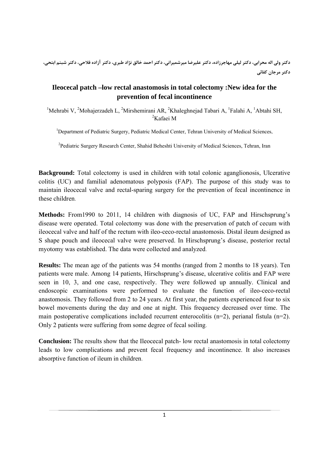دکتر ولی اله محرابی، دکتر لیلی مهاجرزاده، دکتر علیرضا میرشمیرانی، دکتر احمد خالق نژاد طبری، دکتر آزاده فلاحی، دکتر شبنم ابتحی، **دكتر مرجان كفائي**

# **Ileocecal patch –low rectal anastomosis in total colectomy : New idea for the prevention of fecal incontinence**

<sup>1</sup>Mehrabi V, <sup>2</sup>Mohajerzadeh L, <sup>2</sup>Mirshemirani AR, <sup>2</sup>Khaleghnejad Tabari A, <sup>1</sup>Falahi A, <sup>1</sup>Abtahi SH, <sup>2</sup>Kafaei M

<sup>1</sup>Department of Pediatric Surgery, Pediatric Medical Center, Tehran University of Medical Sciences,

<sup>2</sup>Pediatric Surgery Research Center, Shahid Beheshti University of Medical Sciences, Tehran, Iran

**Background:** Total colectomy is used in children with total colonic aganglionosis, Ulcerative colitis (UC) and familial adenomatous polyposis (FAP). The purpose of this study was to maintain ileocecal valve and rectal-sparing surgery for the prevention of fecal incontinence in these children.

**Methods:** From1990 to 2011, 14 children with diagnosis of UC, FAP and Hirschsprung's disease were operated. Total colectomy was done with the preservation of patch of cecum with ileocecal valve and half of the rectum with ileo-ceco-rectal anastomosis. Distal ileum designed as S shape pouch and ileocecal valve were preserved. In Hirschsprung's disease, posterior rectal myotomy was established. The data were collected and analyzed.

**Results:** The mean age of the patients was 54 months (ranged from 2 months to 18 years). Ten patients were male. Among 14 patients, Hirschsprung's disease, ulcerative colitis and FAP were seen in 10, 3, and one case, respectively. They were followed up annually. Clinical and endoscopic examinations were performed to evaluate the function of ileo-ceco-rectal anastomosis. They followed from 2 to 24 years. At first year, the patients experienced four to six bowel movements during the day and one at night. This frequency decreased over time. The main postoperative complications included recurrent enterocolitis (n=2), perianal fistula (n=2). Only 2 patients were suffering from some degree of fecal soiling.

**Conclusion:** The results show that the Ileocecal patch- low rectal anastomosis in total colectomy leads to low complications and prevent fecal frequency and incontinence. It also increases absorptive function of ileum in children.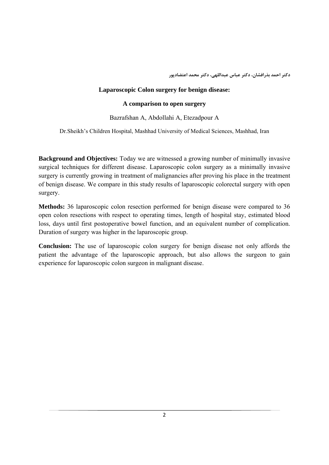**دكتر احمد بذرافشان، دكتر عباس عبداللهي، دكتر محمد اعتضادپور**

### **Laparoscopic Colon surgery for benign disease:**

#### **A comparison to open surgery**

#### Bazrafshan A, Abdollahi A, Etezadpour A

Dr.Sheikh's Children Hospital, Mashhad University of Medical Sciences, Mashhad, Iran

**Background and Objectives:** Today we are witnessed a growing number of minimally invasive surgical techniques for different disease. Laparoscopic colon surgery as a minimally invasive surgery is currently growing in treatment of malignancies after proving his place in the treatment of benign disease. We compare in this study results of laparoscopic colorectal surgery with open surgery.

**Methods:** 36 laparoscopic colon resection performed for benign disease were compared to 36 open colon resections with respect to operating times, length of hospital stay, estimated blood loss, days until first postoperative bowel function, and an equivalent number of complication. Duration of surgery was higher in the laparoscopic group.

**Conclusion:** The use of laparoscopic colon surgery for benign disease not only affords the patient the advantage of the laparoscopic approach, but also allows the surgeon to gain experience for laparoscopic colon surgeon in malignant disease.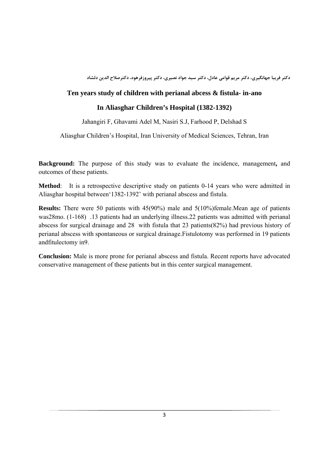**دكتر فريبا جهانگيري، دكتر مريم قوامي عادل، دكتر سيد جواد نصيري، دكتر پيروزفرهود، دكترصلاح الدين دلشاد**

# **Ten years study of children with perianal abcess & fistula- in-ano**

# **In Aliasghar Children's Hospital (1382-1392)**

Jahangiri F, Ghavami Adel M, Nasiri S.J, Farhood P, Delshad S

Aliasghar Children's Hospital, Iran University of Medical Sciences, Tehran, Iran

**Background:** The purpose of this study was to evaluate the incidence, management**,** and outcomes of these patients.

**Method**: It is a retrospective descriptive study on patients 0-14 years who were admitted in Aliasghar hospital between'1382-1392' with perianal abscess and fistula.

**Results:** There were 50 patients with 45(90%) male and 5(10%)female.Mean age of patients was28mo. (1-168) .13 patients had an underlying illness.22 patients was admitted with perianal abscess for surgical drainage and 28 with fistula that 23 patients(82%) had previous history of perianal abscess with spontaneous or surgical drainage.Fistulotomy was performed in 19 patients andfitulectomy in9.

**Conclusion:** Male is more prone for perianal abscess and fistula. Recent reports have advocated conservative management of these patients but in this center surgical management.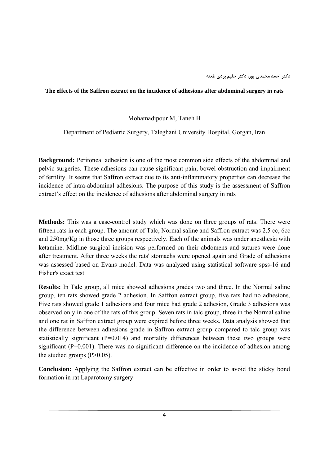**دكتر احمد محمدي پور، دكتر حليم بردي طعنه**

#### **The effects of the Saffron extract on the incidence of adhesions after abdominal surgery in rats**

Mohamadipour M, Taneh H

Department of Pediatric Surgery, Taleghani University Hospital, Gorgan, Iran

**Background:** Peritoneal adhesion is one of the most common side effects of the abdominal and pelvic surgeries. These adhesions can cause significant pain, bowel obstruction and impairment of fertility. It seems that Saffron extract due to its anti-inflammatory properties can decrease the incidence of intra-abdominal adhesions. The purpose of this study is the assessment of Saffron extract's effect on the incidence of adhesions after abdominal surgery in rats

**Methods:** This was a case-control study which was done on three groups of rats. There were fifteen rats in each group. The amount of Talc, Normal saline and Saffron extract was 2.5 cc, 6cc and 250mg/Kg in those three groups respectively. Each of the animals was under anesthesia with ketamine. Midline surgical incision was performed on their abdomens and sutures were done after treatment. After three weeks the rats' stomachs were opened again and Grade of adhesions was assessed based on Evans model. Data was analyzed using statistical software spss-16 and Fisher's exact test.

**Results:** In Talc group, all mice showed adhesions grades two and three. In the Normal saline group, ten rats showed grade 2 adhesion. In Saffron extract group, five rats had no adhesions, Five rats showed grade 1 adhesions and four mice had grade 2 adhesion, Grade 3 adhesions was observed only in one of the rats of this group. Seven rats in talc group, three in the Normal saline and one rat in Saffron extract group were expired before three weeks. Data analysis showed that the difference between adhesions grade in Saffron extract group compared to talc group was statistically significant  $(P=0.014)$  and mortality differences between these two groups were significant (P=0.001). There was no significant difference on the incidence of adhesion among the studied groups  $(P>0.05)$ .

**Conclusion:** Applying the Saffron extract can be effective in order to avoid the sticky bond formation in rat Laparotomy surgery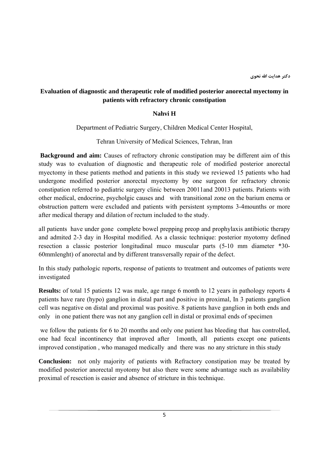# **Evaluation of diagnostic and therapeutic role of modified posterior anorectal myectomy in patients with refractory chronic constipation**

#### **Nahvi H**

Department of Pediatric Surgery, Children Medical Center Hospital,

Tehran University of Medical Sciences, Tehran, Iran

**Background and aim:** Causes of refractory chronic constipation may be different aim of this study was to evaluation of diagnostic and therapeutic role of modified posterior anorectal myectomy in these patients method and patients in this study we reviewed 15 patients who had undergone modified posterior anorectal myectomy by one surgeon for refractory chronic constipation referred to pediatric surgery clinic between 20011and 20013 patients. Patients with other medical, endocrine, psycholgic causes and with transitional zone on the barium enema or obstruction pattern were excluded and patients with persistent symptoms 3-4mounths or more after medical therapy and dilation of rectum included to the study.

all patients have under gone complete bowel prepping preop and prophylaxis antibiotic therapy and admited 2-3 day in Hospital modified. As a classic technique: posterior myotomy defined resection a classic posterior longitudinal muco muscular parts (5-10 mm diameter \*30- 60mmlenght) of anorectal and by different transversally repair of the defect.

In this study pathologic reports, response of patients to treatment and outcomes of patients were investigated

**Results:** of total 15 patients 12 was male, age range 6 month to 12 years in pathology reports 4 patients have rare (hypo) ganglion in distal part and positive in proximal, In 3 patients ganglion cell was negative on distal and proximal was positive. 8 patients have ganglion in both ends and only in one patient there was not any ganglion cell in distal or proximal ends of specimen

 we follow the patients for 6 to 20 months and only one patient has bleeding that has controlled, one had fecal incontinency that improved after 1month, all patients except one patients improved constipation , who managed medically and there was no any stricture in this study

**Conclusion:** not only majority of patients with Refractory constipation may be treated by modified posterior anorectal myotomy but also there were some advantage such as availability proximal of resection is easier and absence of stricture in this technique.

5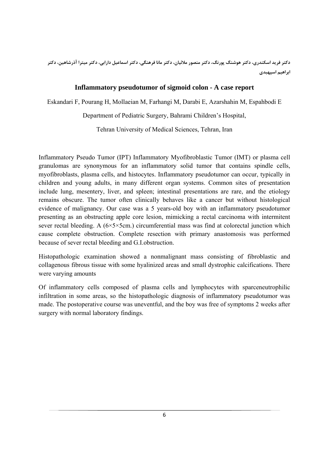دکتر فرید اسکندری، دکتر هوشنگ پورنگ، دکتر منصور ملائیان، دکتر مانا فرهنگی، دکتر اسماعیل دارابی، دکتر میترا آذرشاهین، دکتر **ابراهيم اسپهبدي**

# **Inflammatory pseudotumor of sigmoid colon - A case report**

Eskandari F, Pourang H, Mollaeian M, Farhangi M, Darabi E, Azarshahin M, Espahbodi E

Department of Pediatric Surgery, Bahrami Children's Hospital,

Tehran University of Medical Sciences, Tehran, Iran

Inflammatory Pseudo Tumor (IPT) Inflammatory Myofibroblastic Tumor (IMT) or plasma cell granulomas are synonymous for an inflammatory solid tumor that contains spindle cells, myofibroblasts, plasma cells, and histocytes. Inflammatory pseudotumor can occur, typically in children and young adults, in many different organ systems. Common sites of presentation include lung, mesentery, liver, and spleen; intestinal presentations are rare, and the etiology remains obscure. The tumor often clinically behaves like a cancer but without histological evidence of malignancy. Our case was a 5 years-old boy with an inflammatory pseudotumor presenting as an obstructing apple core lesion, mimicking a rectal carcinoma with intermitent sever rectal bleeding. A  $(6 \times 5 \times 5$ cm.) circumferential mass was find at colorectal junction which cause complete obstruction. Complete resection with primary anastomosis was performed because of sever rectal bleeding and G.I.obstruction.

Histopathologic examination showed a nonmalignant mass consisting of fibroblastic and collagenous fibrous tissue with some hyalinized areas and small dystrophic calcifications. There were varying amounts

Of inflammatory cells composed of plasma cells and lymphocytes with sparceneutrophilic infiltration in some areas, so the histopathologic diagnosis of inflammatory pseudotumor was made. The postoperative course was uneventful, and the boy was free of symptoms 2 weeks after surgery with normal laboratory findings.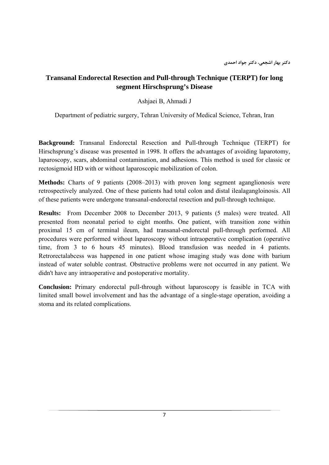# **Transanal Endorectal Resection and Pull-through Technique (TERPT) for long segment Hirschsprung's Disease**

# Ashjaei B, Ahmadi J

Department of pediatric surgery, Tehran University of Medical Science, Tehran, Iran

**Background:** Transanal Endorectal Resection and Pull-through Technique (TERPT) for Hirschsprung's disease was presented in 1998. It offers the advantages of avoiding laparotomy, laparoscopy, scars, abdominal contamination, and adhesions. This method is used for classic or rectosigmoid HD with or without laparoscopic mobilization of colon.

**Methods:** Charts of 9 patients (2008–2013) with proven long segment aganglionosis were retrospectively analyzed. One of these patients had total colon and distal ilealagangloinosis. All of these patients were undergone transanal-endorectal resection and pull-through technique.

**Results:** From December 2008 to December 2013, 9 patients (5 males) were treated. All presented from neonatal period to eight months. One patient, with transition zone within proximal 15 cm of terminal ileum, had transanal-endorectal pull-through performed. All procedures were performed without laparoscopy without intraoperative complication (operative time, from 3 to 6 hours 45 minutes). Blood transfusion was needed in 4 patients. Retrorectalabcess was happened in one patient whose imaging study was done with barium instead of water soluble contrast. Obstructive problems were not occurred in any patient. We didn't have any intraoperative and postoperative mortality.

**Conclusion:** Primary endorectal pull-through without laparoscopy is feasible in TCA with limited small bowel involvement and has the advantage of a single-stage operation, avoiding a stoma and its related complications.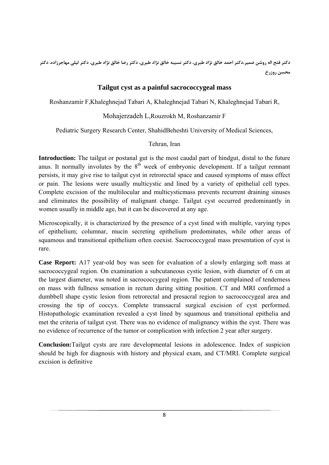دکتر فتح اله روشن ضمیر،دکتر احمد خالق نژاد طبری، دکتر نسیبه خالق نژاد طبری، دکتر رضا خالق نژاد طبری، دکتر لیلی مهاجرزاده، دکتر **محسن روزرخ**

# **Tailgut cyst as a painful sacrococcygeal mass**

Roshanzamir F,Khaleghnejad Tabari A, Khaleghnejad Tabari N, Khaleghnejad Tabari R,

# Mohajerzadeh L,Rouzrokh M, Roshanzamir F

Pediatric Surgery Research Center, ShahidBeheshti University of Medical Sciences,

# Tehran, Iran

**Introduction:** The tailgut or postanal gut is the most caudal part of hindgut, distal to the future anus. It normally involutes by the  $8<sup>th</sup>$  week of embryonic development. If a tailgut remnant persists, it may give rise to tailgut cyst in retrorectal space and caused symptoms of mass effect or pain. The lesions were usually multicystic and lined by a variety of epithelial cell types. Complete excision of the multilocular and multicysticmass prevents recurrent draining sinuses and eliminates the possibility of malignant change. Tailgut cyst occurred predominantly in women usually in middle age, but it can be discovered at any age.

Microscopically, it is characterized by the presence of a cyst lined with multiple, varying types of epithelium; columnar, mucin secreting epithelium predominates, while other areas of squamous and transitional epithelium often coexist. Sacrococcygeal mass presentation of cyst is rare.

**Case Report:** A17 year-old boy was seen for evaluation of a slowly enlarging soft mass at sacrococcygeal region. On examination a subcutaneous cystic lesion, with diameter of 6 cm at the largest diameter, was noted in sacrococcygeal region. The patient complained of tenderness on mass with fullness sensation in rectum during sitting position. CT and MRI confirmed a dumbbell shape cystic lesion from retrorectal and presacral region to sacrococcygeal area and crossing the tip of coccyx. Complete transsacral surgical excision of cyst performed. Histopathologic examination revealed a cyst lined by squamous and transitional epithelia and met the criteria of tailgut cyst. There was no evidence of malignancy within the cyst. There was no evidence of recurrence of the tumor or complication with infection 2 year after surgery.

**Conclusion:**Tailgut cysts are rare developmental lesions in adolescence. Index of suspicion should be high for diagnosis with history and physical exam, and CT/MRI. Complete surgical excision is definitive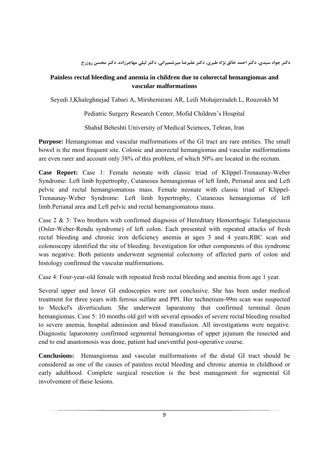دکتر جواد سیدی، دکتر احمد خالق نژاد طبری، دکتر علیرضا میرشمیرانی، دکتر لیلی مهاجرزاده، دکتر محسن روزرخ

# **Painless rectal bleeding and anemia in children due to colorectal hemangiomas and vascular malformations**

Seyedi J,Khaleghnejad Tabari A, Mirshemirani AR, Leili Mohajerzadeh L, Rouzrokh M

Pediatric Surgery Research Center, Mofid Children's Hospital

Shahid Beheshti University of Medical Sciences, Tehran, Iran

**Purpose:** Hemangiomas and vascular malformations of the GI tract are rare entities. The small bowel is the most frequent site. Colonic and anorectal hemangiomas and vascular malformations are even rarer and account only 38% of this problem, of which 50% are located in the rectum.

**Case Report:** Case 1: Female neonate with classic triad of Klippel-Trenaunay-Weber Syndrome: Left limb hypertrophy, Cutaneous hemangiomas of left limb, Perianal area and Left pelvic and rectal hemangiomatous mass. Female neonate with classic triad of Klippel-Trenaunay-Weber Syndrome: Left limb hypertrophy, Cutaneous hemangiomas of left limb.Perianal area and Left pelvic and rectal hemangiomatous mass.

Case 2 & 3: Two brothers with confirmed diagnosis of Hereditary Hemorrhagic Telangiectasia (Osler-Weber-Rendu syndrome) of left colon. Each presented with repeated attacks of fresh rectal bleeding and chronic iron deficiency anemia at ages 3 and 4 years.RBC scan and colonoscopy identified the site of bleeding. Investigation for other components of this syndrome was negative. Both patients underwent segmental colectomy of affected parts of colon and histology confirmed the vascular malformations.

Case 4: Four-year-old female with repeated fresh rectal bleeding and anemia from age 1 year.

Several upper and lower GI endoscopies were not conclusive. She has been under medical treatment for three years with ferrous sulfate and PPI. Her technetium-99m scan was suspected to Meckel's diverticulum. She underwent laparatomy that confirmed terminal ileum hemangiomas. Case 5: 10 months old girl with several episodes of severe rectal bleeding resulted to severe anemia, hospital admission and blood transfusion. All investigations were negative. Diagnostic laparotomy confirmed segmental hemangiomas of upper jejunum the resected and end to end anastomosis was done, patient had uneventful post-operative course.

**Conclusions:** Hemangiomas and vascular malformations of the distal GI tract should be considered as one of the causes of painless rectal bleeding and chronic anemia in childhood or early adulthood. Complete surgical resection is the best management for segmental GI involvement of these lesions.

9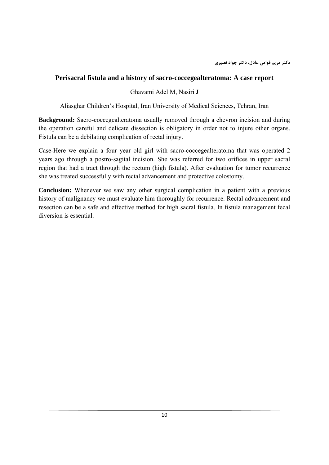### **Perisacral fistula and a history of sacro-coccegealteratoma: A case report**

#### Ghavami Adel M, Nasiri J

Aliasghar Children's Hospital, Iran University of Medical Sciences, Tehran, Iran

**Background:** Sacro-coccegealteratoma usually removed through a chevron incision and during the operation careful and delicate dissection is obligatory in order not to injure other organs. Fistula can be a debilating complication of rectal injury.

Case-Here we explain a four year old girl with sacro-coccegealteratoma that was operated 2 years ago through a postro-sagital incision. She was referred for two orifices in upper sacral region that had a tract through the rectum (high fistula). After evaluation for tumor recurrence she was treated successfully with rectal advancement and protective colostomy.

**Conclusion:** Whenever we saw any other surgical complication in a patient with a previous history of malignancy we must evaluate him thoroughly for recurrence. Rectal advancement and resection can be a safe and effective method for high sacral fistula. In fistula management fecal diversion is essential.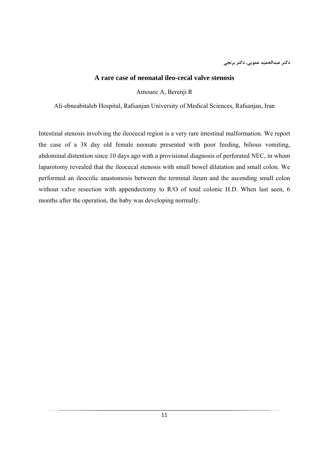### **A rare case of neonatal ileo-cecal valve stenosis**

Amouee A, Berenji R

Ali-ebneabitaleb Hospital, Rafsanjan University of Medical Sciences, Rafsanjan, Iran

Intestinal stenosis involving the ileocecal region is a very rare intestinal malformation. We report the case of a 38 day old female neonate presented with poor feeding, bilious vomiting, abdominal distention since 10 days ago with a provisional diagnosis of perforated NEC, in whom laparotomy revealed that the ileocecal stenosis with small bowel dilatation and small colon. We performed an ileocolic anastomosis between the terminal ileum and the ascending small colon without valve resection with appendectomy to R/O of total colonic H.D. When last seen, 6 months after the operation, the baby was developing normally.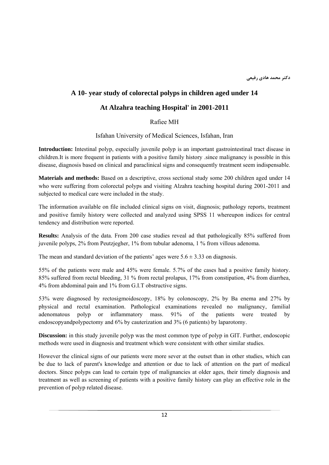# **A 10- year study of colorectal polyps in children aged under 14**

## **At Alzahra teaching Hospital' in 2001-2011**

Rafiee MH

Isfahan University of Medical Sciences, Isfahan, Iran

**Introduction:** Intestinal polyp, especially juvenile polyp is an important gastrointestinal tract disease in children.It is more frequent in patients with a positive family history .since malignancy is possible in this disease, diagnosis based on clinical and paraclinical signs and consequently treatment seem indispensable.

**Materials and methods:** Based on a descriptive, cross sectional study some 200 children aged under 14 who were suffering from colorectal polyps and visiting Alzahra teaching hospital during 2001-2011 and subjected to medical care were included in the study.

The information available on file included clinical signs on visit, diagnosis; pathology reports, treatment and positive family history were collected and analyzed using SPSS 11 whereupon indices for central tendency and distribution were reported.

**Results:** Analysis of the data. From 200 case studies reveal ad that pathologically 85% suffered from juvenile polyps, 2% from Peutzjegher, 1% from tubular adenoma, 1 % from villous adenoma.

The mean and standard deviation of the patients' ages were  $5.6 \pm 3.33$  on diagnosis.

55% of the patients were male and 45% were female. 5.7% of the cases had a positive family history. 85% suffered from rectal bleeding, 31 % from rectal prolapus, 17% from constipation, 4% from diarrhea, 4% from abdominal pain and 1% from G.I.T obstructive signs.

53% were diagnosed by rectosigmoidoscopy, 18% by colonoscopy, 2% by Ba enema and 27% by physical and rectal examination. Pathological examinations revealed no malignancy, familial adenomatous polyp or inflammatory mass. 91% of the patients were treated by endoscopyandpolypectomy and 6% by cauterization and 3% (6 patients) by laparotomy.

**Discussion:** in this study juvenile polyp was the most common type of polyp in GIT. Further, endoscopic methods were used in diagnosis and treatment which were consistent with other similar studies.

However the clinical signs of our patients were more sever at the outset than in other studies, which can be due to lack of parent's knowledge and attention or due to lack of attention on the part of medical doctors. Since polyps can lead to certain type of malignancies at older ages, their timely diagnosis and treatment as well as screening of patients with a positive family history can play an effective role in the prevention of polyp related disease.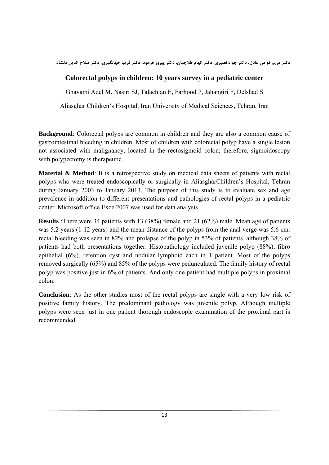دکتر مریم قوامی عادل، دکتر جواد نصیری، دکتر الهام طلاچیان، دکتر پیروز فرهود، دکتر فریبا جهانگیری، دکتر صلاح الدین دلشاد

# **Colorectal polyps in children: 10 years survey in a pediatric center**

Ghavami Adel M, Nasiri SJ, Talachian E, Farhood P, Jahangiri F, Delshad S

Aliasghar Children's Hospital, Iran University of Medical Sciences, Tehran, Iran

**Background**: Colorectal polyps are common in children and they are also a common cause of gastrointestinal bleeding in children. Most of children with colorectal polyp have a single lesion not associated with malignancy, located in the rectosigmoid colon; therefore, sigmoidoscopy with polypectomy is therapeutic.

**Material & Method**: It is a retrospective study on medical data sheets of patients with rectal polyps who were treated endoscopically or surgically in AliasgharChildren's Hospital, Tehran during January 2003 to January 2013. The purpose of this study is to evaluate sex and age prevalence in addition to different presentations and pathologies of rectal polyps in a pediatric center. Microsoft office Excel2007 was used for data analysis.

**Results** :There were 34 patients with 13 (38%) female and 21 (62%) male. Mean age of patients was 5.2 years (1-12 years) and the mean distance of the polyps from the anal verge was 5.6 cm. rectal bleeding was seen in 82% and prolapse of the polyp in 53% of patients, although 38% of patients had both presentations together. Histopathology included juvenile polyp (88%), fibro epithelial (6%), retention cyst and nodular lymphoid each in 1 patient. Most of the polyps removed surgically (65%) and 85% of the polyps were pedunculated. The family history of rectal polyp was positive just in 6% of patients. And only one patient had multiple polyps in proximal colon.

**Conclusion**: As the other studies most of the rectal polyps are single with a very low risk of positive family history. The predominant pathology was juvenile polyp. Although multiple polyps were seen just in one patient thorough endoscopic examination of the proximal part is recommended.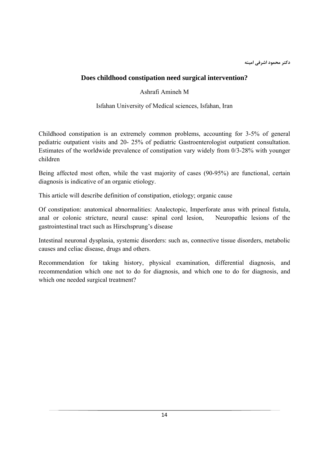# **Does childhood constipation need surgical intervention?**

Ashrafi Amineh M

Isfahan University of Medical sciences, Isfahan, Iran

Childhood constipation is an extremely common problems, accounting for 3-5% of general pediatric outpatient visits and 20- 25% of pediatric Gastroenterologist outpatient consultation. Estimates of the worldwide prevalence of constipation vary widely from 0/3-28% with younger children

Being affected most often, while the vast majority of cases (90-95%) are functional, certain diagnosis is indicative of an organic etiology.

This article will describe definition of constipation, etiology; organic cause

Of constipation: anatomical abnormalities: Analectopic, Imperforate anus with prineal fistula, anal or colonic stricture, neural cause: spinal cord lesion, Neuropathic lesions of the gastrointestinal tract such as Hirschsprung's disease

Intestinal neuronal dysplasia, systemic disorders: such as, connective tissue disorders, metabolic causes and celiac disease, drugs and others.

Recommendation for taking history, physical examination, differential diagnosis, and recommendation which one not to do for diagnosis, and which one to do for diagnosis, and which one needed surgical treatment?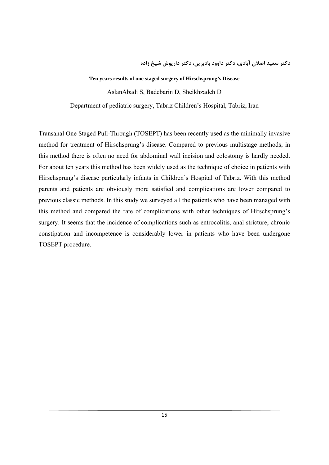**دكتر سعيد اصلان آبادي، دكتر داوود بادبرين، دكتر داريوش شيخ زاده**

#### **Ten years results of one staged surgery of Hirschsprung's Disease**

AslanAbadi S, Badebarin D, Sheikhzadeh D

Department of pediatric surgery, Tabriz Children's Hospital, Tabriz, Iran

Transanal One Staged Pull-Through (TOSEPT) has been recently used as the minimally invasive method for treatment of Hirschsprung's disease. Compared to previous multistage methods, in this method there is often no need for abdominal wall incision and colostomy is hardly needed. For about ten years this method has been widely used as the technique of choice in patients with Hirschsprung's disease particularly infants in Children's Hospital of Tabriz. With this method parents and patients are obviously more satisfied and complications are lower compared to previous classic methods. In this study we surveyed all the patients who have been managed with this method and compared the rate of complications with other techniques of Hirschsprung's surgery. It seems that the incidence of complications such as entrocolitis, anal stricture, chronic constipation and incompetence is considerably lower in patients who have been undergone TOSEPT procedure.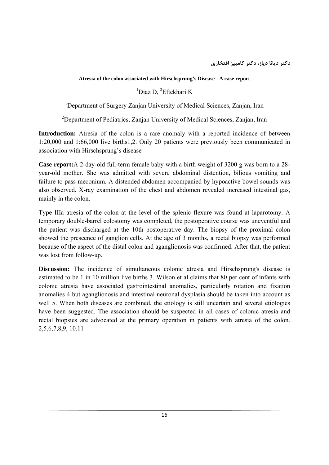**Atresia of the colon associated with Hirschsprung's Disease - A case report** 

 $1$ Diaz D,  $2$ Eftekhari K

<sup>1</sup>Department of Surgery Zanjan University of Medical Sciences, Zanjan, Iran

<sup>2</sup>Department of Pediatrics, Zanjan University of Medical Sciences, Zanjan, Iran

**Introduction:** Atresia of the colon is a rare anomaly with a reported incidence of between 1:20,000 and 1:66,000 live births1,2. Only 20 patients were previously been communicated in association with Hirschsprung's disease

**Case report:**A 2-day-old full-term female baby with a birth weight of 3200 g was born to a 28 year-old mother. She was admitted with severe abdominal distention, bilious vomiting and failure to pass meconium. A distended abdomen accompanied by hypoactive bowel sounds was also observed. X-ray examination of the chest and abdomen revealed increased intestinal gas, mainly in the colon.

Type IIIa atresia of the colon at the level of the splenic flexure was found at laparotomy. A temporary double-barrel colostomy was completed, the postoperative course was uneventful and the patient was discharged at the 10th postoperative day. The biopsy of the proximal colon showed the prescence of ganglion cells. At the age of 3 months, a rectal biopsy was performed because of the aspect of the distal colon and aganglionosis was confirmed. After that, the patient was lost from follow-up.

**Discussion:** The incidence of simultaneous colonic atresia and Hirschsprung's disease is estimated to be 1 in 10 million live births 3. Wilson et al claims that 80 per cent of infants with colonic atresia have associated gastrointestinal anomalies, particularly rotation and fixation anomalies 4 but aganglionosis and intestinal neuronal dysplasia should be taken into account as well 5. When both diseases are combined, the etiology is still uncertain and several etiologies have been suggested. The association should be suspected in all cases of colonic atresia and rectal biopsies are advocated at the primary operation in patients with atresia of the colon. 2,5,6,7,8,9, 10.11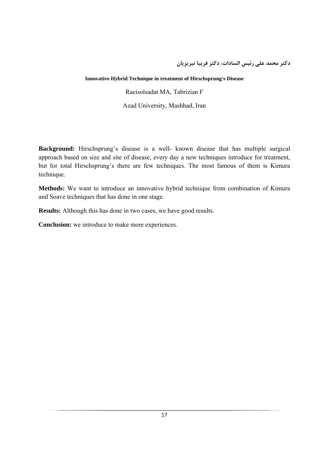**دكتر محمد علي رئيس السادات، دكتر فريبا تبريزيان**

#### **Innovative Hybrid Technique in treatment of Hirschsprung's Disease**

Raeisolsadat MA, Tabrizian F

Azad University, Mashhad, Iran

**Background:** Hirschsprung's disease is a well- known disease that has multiple surgical approach based on size and site of disease, every day a new techniques introduce for treatment, but for total Hirschsprung's there are few techniques. The most famous of them is Kimura technique.

**Methods:** We want to introduce an innovative hybrid technique from combination of Kimura and Soave techniques that has done in one stage.

**Results:** Although this has done in two cases, we have good results.

**Conclusion:** we introduce to make more experiences.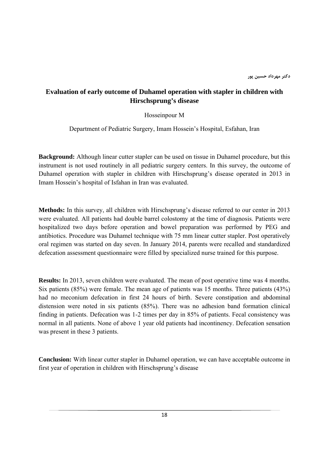# **Evaluation of early outcome of Duhamel operation with stapler in children with Hirschsprung's disease**

Hosseinpour M

Department of Pediatric Surgery, Imam Hossein's Hospital, Esfahan, Iran

**Background:** Although linear cutter stapler can be used on tissue in Duhamel procedure, but this instrument is not used routinely in all pediatric surgery centers. In this survey, the outcome of Duhamel operation with stapler in children with Hirschsprung's disease operated in 2013 in Imam Hossein's hospital of Isfahan in Iran was evaluated.

**Methods:** In this survey, all children with Hirschsprung's disease referred to our center in 2013 were evaluated. All patients had double barrel colostomy at the time of diagnosis. Patients were hospitalized two days before operation and bowel preparation was performed by PEG and antibiotics. Procedure was Duhamel technique with 75 mm linear cutter stapler. Post operatively oral regimen was started on day seven. In January 2014, parents were recalled and standardized defecation assessment questionnaire were filled by specialized nurse trained for this purpose.

**Results:** In 2013, seven children were evaluated. The mean of post operative time was 4 months. Six patients (85%) were female. The mean age of patients was 15 months. Three patients (43%) had no meconium defecation in first 24 hours of birth. Severe constipation and abdominal distension were noted in six patients (85%). There was no adhesion band formation clinical finding in patients. Defecation was 1-2 times per day in 85% of patients. Fecal consistency was normal in all patients. None of above 1 year old patients had incontinency. Defecation sensation was present in these 3 patients.

**Conclusion:** With linear cutter stapler in Duhamel operation, we can have acceptable outcome in first year of operation in children with Hirschsprung's disease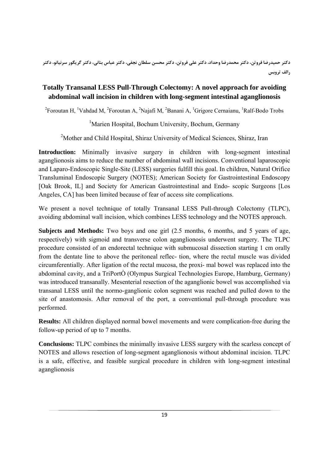# **Totally Transanal LESS Pull-Through Colectomy: A novel approach for avoiding abdominal wall incision in children with long-segment intestinal aganglionosis**

<sup>2</sup> Foroutan H, <sup>1</sup>Vahdad M, <sup>2</sup> Foroutan A, <sup>2</sup>Najafi M, <sup>2</sup>Banani A, <sup>1</sup>Grigore Cernaianu, <sup>1</sup>Ralf-Bodo Trobs

<sup>1</sup>Marien Hospital, Bochum University, Bochum, Germany

<sup>2</sup>Mother and Child Hospital, Shiraz University of Medical Sciences, Shiraz, Iran

**Introduction:** Minimally invasive surgery in children with long-segment intestinal aganglionosis aims to reduce the number of abdominal wall incisions. Conventional laparoscopic and Laparo-Endoscopic Single-Site (LESS) surgeries fulfill this goal. In children, Natural Orifice Transluminal Endoscopic Surgery (NOTES); American Society for Gastrointestinal Endoscopy [Oak Brook, IL] and Society for American Gastrointestinal and Endo- scopic Surgeons [Los Angeles, CA] has been limited because of fear of access site complications.

We present a novel technique of totally Transanal LESS Pull-through Colectomy (TLPC), avoiding abdominal wall incision, which combines LESS technology and the NOTES approach.

**Subjects and Methods:** Two boys and one girl (2.5 months, 6 months, and 5 years of age, respectively) with sigmoid and transverse colon aganglionosis underwent surgery. The TLPC procedure consisted of an endorectal technique with submucosal dissection starting 1 cm orally from the dentate line to above the peritoneal reflec- tion, where the rectal muscle was divided circumferentially. After ligation of the rectal mucosa, the proxi- mal bowel was replaced into the abdominal cavity, and a TriPortÒ (Olympus Surgical Technologies Europe, Hamburg, Germany) was introduced transanally. Mesenterial resection of the aganglionic bowel was accomplished via transanal LESS until the normo-ganglionic colon segment was reached and pulled down to the site of anastomosis. After removal of the port, a conventional pull-through procedure was performed.

**Results:** All children displayed normal bowel movements and were complication-free during the follow-up period of up to 7 months.

**Conclusions:** TLPC combines the minimally invasive LESS surgery with the scarless concept of NOTES and allows resection of long-segment aganglionosis without abdominal incision. TLPC is a safe, effective, and feasible surgical procedure in children with long-segment intestinal aganglionosis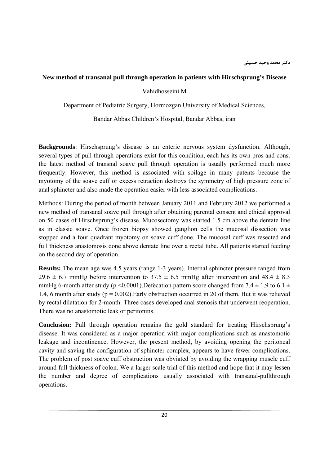#### **New method of transanal pull through operation in patients with Hirschsprung's Disease**

Vahidhosseini M

Department of Pediatric Surgery, Hormozgan University of Medical Sciences,

Bandar Abbas Children's Hospital, Bandar Abbas, iran

**Backgrounds**: Hirschsprung's disease is an enteric nervous system dysfunction. Although, several types of pull through operations exist for this condition, each has its own pros and cons. the latest method of transnal soave pull through operation is usually performed much more frequently. However, this method is associated with soilage in many patents because the myotomy of the soave cuff or excess retraction destroys the symmetry of high pressure zone of anal sphincter and also made the operation easier with less associated complications.

Methods: During the period of month between January 2011 and February 2012 we performed a new method of transanal soave pull through after obtaining parental consent and ethical approval on 50 cases of Hirschsprung's disease. Mucosectomy was started 1.5 cm above the dentate line as in classic soave. Once frozen biopsy showed ganglion cells the mucosal dissection was stopped and a four quadrant myotomy on soave cuff done. The mucosal cuff was resected and full thickness anastomosis done above dentate line over a rectal tube. All patients started feeding on the second day of operation.

**Results:** The mean age was 4.5 years (range 1-3 years). Internal sphincter pressure ranged from 29.6  $\pm$  6.7 mmHg before intervention to 37.5  $\pm$  6.5 mmHg after intervention and 48.4  $\pm$  8.3 mmHg 6-month after study (p <0.0001). Defecation pattern score changed from 7.4  $\pm$  1.9 to 6.1  $\pm$ 1.4, 6 month after study ( $p = 0.002$ ). Early obstruction occurred in 20 of them. But it was relieved by rectal dilatation for 2-month. Three cases developed anal stenosis that underwent reoperation. There was no anastomotic leak or peritonitis.

**Conclusion:** Pull through operation remains the gold standard for treating Hirschsprung's disease. It was considered as a major operation with major complications such as anastomotic leakage and incontinence. However, the present method, by avoiding opening the peritoneal cavity and saving the configuration of sphincter complex, appears to have fewer complications. The problem of post soave cuff obstruction was obviated by avoiding the wrapping muscle cuff around full thickness of colon. We a larger scale trial of this method and hope that it may lessen the number and degree of complications usually associated with transanal-pullthrough operations.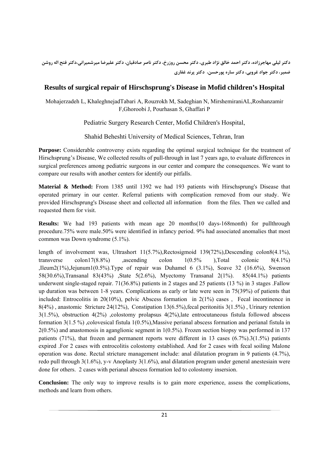دکتر لیلی مهاجرزاده، دکتر احمد خالق نژاد طبری، دکتر محسن روزرخ، دکتر ناصر صادقیان، دکتر علیرضا میرشمیرانی،دکتر فتح اله روشن **ضمير، دكتر جواد غروبي، دكتر ساره پورحسن، دكتر پرند غفاري**

# **Results of surgical repair of Hirschsprung's Disease in Mofid children's Hospital**

Mohajerzadeh L, KhaleghnejadTabari A, Rouzrokh M, Sadeghian N, MirshemiraniAL,Roshanzamir F,Ghoroobi J, Pourhasan S, Ghaffari P

Pediatric Surgery Research Center, Mofid Children's Hospital,

Shahid Beheshti University of Medical Sciences, Tehran, Iran

**Purpose:** Considerable controversy exists regarding the optimal surgical technique for the treatment of Hirschsprung's Disease, We collected results of pull-through in last 7 years ago, to evaluate differences in surgical preferences among pediatric surgeons in our center and compare the consequences. We want to compare our results with another centers for identify our pitfalls.

**Material & Method:** From 1385 until 1392 we had 193 patients with Hirschsprung's Disease that operated primary in our center. Referral patients with complication removed from our study. We provided Hirschsprung's Disease sheet and collected all information from the files. Then we called and requested them for visit.

**Results:** We had 193 patients with mean age 20 months(10 days-168month) for pullthrough procedure.75% were male.50% were identified in infancy period. 9% had associated anomalies that most common was Down syndrome (5.1%).

length of involvement was, Ultrashort  $11(5.7\%)$ , Rectosigmoid  $139(72\%)$ , Descending colon8(4.1%), transverse colon17(8.8%) ,ascending colon  $1(0.5\%)$  ,Total colonic  $8(4.1\%)$ ,Ileum2(1%),Jejunum1(0.5%).Type of repair was Duhamel 6 (3.1%), Soave 32 (16.6%), Swenson 58(30.6%),Transanal 83(43%) ,State 5(2.6%), Myectomy Transanal 2(1%). 85(44.1%) patients underwent single-staged repair. 71(36.8%) patients in 2 stages and 25 patients (13 %) in 3 stages .Fallow up duration was between 1-8 years. Complications as early or late were seen in 75(39%) of patients that included: Entrocolitis in 20(10%), pelvic Abscess formation in  $2(1\%)$  cases, Fecal incontinence in  $8(4\%)$ , anastomic Stricture 24(12%), Constipation 13(6.5%), fecal peritonitis 3(1.5%), Urinary retention 3(1.5%), obstruction 4(2%) ,colostomy prolapsus 4(2%),late entrocutaneous fistula followed abscess formation 3(1.5 %) ,colovesical fistula 1(0.5%),Massive perianal abscess formation and perianal fistula in 2(0.5%) and anastomosis in aganglionic segment in 1(0.5%). Frozen section biopsy was performed in 137 patients (71%), that frozen and permanent reports were different in 13 cases  $(6.7\%)$ .3(1.5%) patients expired .For 2 cases with entrocolitis colostomy established. And for 2 cases with fecal soiling Malone operation was done. Rectal stricture management include: anal dilatation program in 9 patients (4.7%), redo pull through 3(1.6%), y-v Anoplasty 3(1.6%), anal dilatation program under general anestesiain were done for others. 2 cases with perianal abscess formation led to colostomy insersion.

**Conclusion:** The only way to improve results is to gain more experience, assess the complications, methods and learn from others.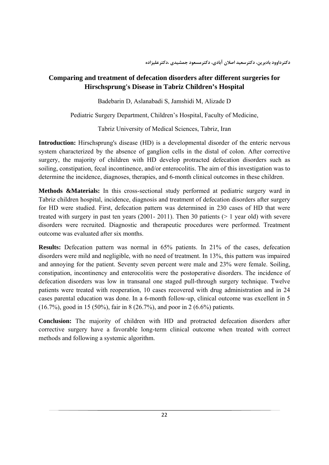# **Comparing and treatment of defecation disorders after different surgeries for Hirschsprung's Disease in Tabriz Children's Hospital**

Badebarin D, Aslanabadi S, Jamshidi M, Alizade D

Pediatric Surgery Department, Children's Hospital, Faculty of Medicine,

Tabriz University of Medical Sciences, Tabriz, Iran

**Introduction:** Hirschsprung's disease (HD) is a developmental disorder of the enteric nervous system characterized by the absence of ganglion cells in the distal of colon. After corrective surgery, the majority of children with HD develop protracted defecation disorders such as soiling, constipation, fecal incontinence, and/or enterocolitis. The aim of this investigation was to determine the incidence, diagnoses, therapies, and 6-month clinical outcomes in these children.

**Methods &Materials:** In this cross-sectional study performed at pediatric surgery ward in Tabriz children hospital, incidence, diagnosis and treatment of defecation disorders after surgery for HD were studied. First, defecation pattern was determined in 230 cases of HD that were treated with surgery in past ten years (2001- 2011). Then 30 patients ( $> 1$  year old) with severe disorders were recruited. Diagnostic and therapeutic procedures were performed. Treatment outcome was evaluated after six months.

**Results:** Defecation pattern was normal in 65% patients. In 21% of the cases, defecation disorders were mild and negligible, with no need of treatment. In 13%, this pattern was impaired and annoying for the patient. Seventy seven percent were male and 23% were female. Soiling, constipation, incontinency and enterocolitis were the postoperative disorders. The incidence of defecation disorders was low in transanal one staged pull-through surgery technique. Twelve patients were treated with reoperation, 10 cases recovered with drug administration and in 24 cases parental education was done. In a 6-month follow-up, clinical outcome was excellent in 5 (16.7%), good in 15 (50%), fair in 8 (26.7%), and poor in 2 (6.6%) patients.

**Conclusion:** The majority of children with HD and protracted defecation disorders after corrective surgery have a favorable long-term clinical outcome when treated with correct methods and following a systemic algorithm.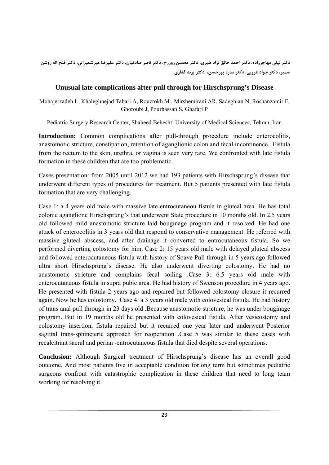دکتر لیلی مهاجرزاده، دکتر احمد خالق نژاد طبری، دکتر محسن روزرخ، دکتر ناصر صادقیان، دکتر علیرضا میرشمیرانی، دکتر فتح اله روشن **ضمير، دكتر جواد غروبي، دكتر ساره پورحسن، دكتر پرند غفاري**

# **Unusual late complications after pull through for Hirschsprung's Disease**

Mohajerzadeh L, Khaleghnejad Tabari A, Rouzrokh M , Mirshemirani AR, Sadeghian N, Roshanzamir F, Ghoroubi J, Pourhassan S, Ghafari P

Pediatric Surgery Research Center, Shaheed Beheshti University of Medical Sciences, Tehran, Iran

**Introduction:** Common complications after pull-through procedure include enterocolitis, anastomotic stricture, constipation, retention of aganglionic colon and fecal incontinence. Fistula from the rectum to the skin, urethra, or vagina is seen very rare. We confronted with late fistula formation in these children that are too problematic.

Cases presentation: from 2005 until 2012 we had 193 patients with Hirschsprung's disease that underwent different types of procedures for treatment. But 5 patients presented with late fistula formation that are very challenging.

Case 1: a 4 years old male with massive late entrocutaneou fistula in gluteal area. He has total colonic aganglionc Hirschsprung's that underwent State procedure in 10 months old. In 2.5 years old followed mild anastomotic stricture laid bouginage program and it resolved. He had one attack of enterocolitis in 3 years old that respond to conservative management. He referred with massive gluteal abscess, and after drainage it converted to entrocutaneous fistula. So we performed diverting colostomy for him. Case 2: 15 years old male with delayed gluteal abscess and followed enterocutaneous fistula with history of Soave Pull through in 5 years ago followed ultra short Hirschsprung's disease. He also underwent diverting colostomy. He had no anastomotic stricture and complains fecal soiling .Case 3: 6.5 years old male with enterocutaneous fistula in supra pubic area. He had history of Swenson procedure in 4 years ago. He presented with fistula 2 years ago and repaired but followed colostomy closure it recurred again. Now he has colostomy. Case 4: a 3 years old male with colovesical fistula. He had history of trans anal pull through in 23 days old .Because anastomotic stricture, he was under bouginage program. But in 19 months old he presented with colovesical fistula. After vesicostomy and colostomy insertion, fistula repaired but it recurred one year later and underwent Posterior sagittal trans-sphincteric approach for reoperation .Case 5 was similar to these cases with recalcitrant sacral and perian -entrocutaneous fistula that died despite several operations.

**Conclusion:** Although Surgical treatment of Hirschsprung's disease has an overall good outcome. And most patients live in acceptable condition forlong term but sometimes pediatric surgeons confront with catastrophic complication in these children that need to long team working for resolving it.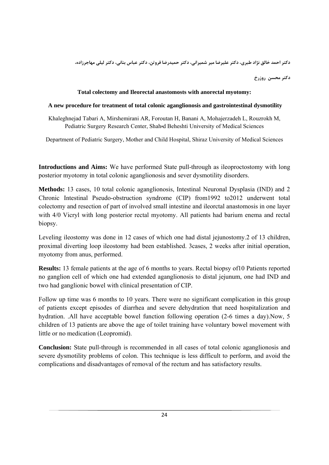دکتر احمد خالق نژاد طبری، دکتر علیرضا میر شمیرانی، دکتر حمیدرضا فروتن، دکتر عباس بنانی، دکتر لیلی مهاجرزاده،

**دكتر محسن روزرخ** 

#### **Total colectomy and Ileorectal anastomosts with anorectal myotomy:**

#### **A new procedure for treatment of total colonic aganglionosis and gastrointestinal dysmotility**

Khaleghnejad Tabari A, Mirshemirani AR, Foroutan H, Banani A, Mohajerzadeh L, Rouzrokh M, Pediatric Surgery Research Center, Shahهd Beheshti University of Medical Sciences

Department of Pediatric Surgery, Mother and Child Hospital, Shiraz University of Medical Sciences

**Introductions and Aims:** We have performed State pull-through as ileoproctostomy with long posterior myotomy in total colonic aganglionosis and sever dysmotility disorders.

**Methods:** 13 cases, 10 total colonic aganglionosis, Intestinal Neuronal Dysplasia (IND) and 2 Chronic Intestinal Pseudo-obstruction syndrome (CIP) from1992 to2012 underwent total colectomy and resection of part of involved small intestine and ileorctal anastomosis in one layer with 4/0 Vicryl with long posterior rectal myotomy. All patients had barium enema and rectal biopsy.

Leveling ileostomy was done in 12 cases of which one had distal jejunostomy.2 of 13 children, proximal diverting loop ileostomy had been established. 3cases, 2 weeks after initial operation, myotomy from anus, performed.

**Results:** 13 female patients at the age of 6 months to years. Rectal biopsy of10 Patients reported no ganglion cell of which one had extended aganglionosis to distal jejunum, one had IND and two had ganglionic bowel with clinical presentation of CIP.

Follow up time was 6 months to 10 years. There were no significant complication in this group of patients except episodes of diarrhea and severe dehydration that need hospitalization and hydration. .All have acceptable bowel function following operation (2-6 times a day).Now, 5 children of 13 patients are above the age of toilet training have voluntary bowel movement with little or no medication (Leopromid).

**Conclusion:** State pull-through is recommended in all cases of total colonic aganglionosis and severe dysmotility problems of colon. This technique is less difficult to perform, and avoid the complications and disadvantages of removal of the rectum and has satisfactory results.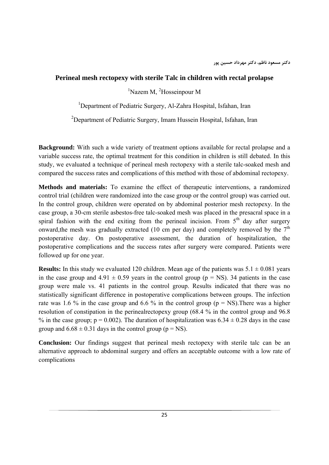## **Perineal mesh rectopexy with sterile Talc in children with rectal prolapse**

<sup>1</sup>Nazem M, <sup>2</sup>Hosseinpour M

<sup>1</sup>Department of Pediatric Surgery, Al-Zahra Hospital, Isfahan, Iran

<sup>2</sup>Department of Pediatric Surgery, Imam Hussein Hospital, Isfahan, Iran

**Background:** With such a wide variety of treatment options available for rectal prolapse and a variable success rate, the optimal treatment for this condition in children is still debated. In this study, we evaluated a technique of perineal mesh rectopexy with a sterile talc-soaked mesh and compared the success rates and complications of this method with those of abdominal rectopexy.

**Methods and materials:** To examine the effect of therapeutic interventions, a randomized control trial (children were randomized into the case group or the control group) was carried out. In the control group, children were operated on by abdominal posterior mesh rectopexy. In the case group, a 30-cm sterile asbestos-free talc-soaked mesh was placed in the presacral space in a spiral fashion with the end exiting from the perineal incision. From  $5<sup>th</sup>$  day after surgery onward, the mesh was gradually extracted (10 cm per day) and completely removed by the  $7<sup>th</sup>$ postoperative day. On postoperative assessment, the duration of hospitalization, the postoperative complications and the success rates after surgery were compared. Patients were followed up for one year.

**Results:** In this study we evaluated 120 children. Mean age of the patients was  $5.1 \pm 0.081$  years in the case group and  $4.91 \pm 0.59$  years in the control group ( $p = NS$ ). 34 patients in the case group were male vs. 41 patients in the control group. Results indicated that there was no statistically significant difference in postoperative complications between groups. The infection rate was 1.6 % in the case group and 6.6 % in the control group ( $p = NS$ ). There was a higher resolution of constipation in the perinealrectopexy group (68.4 % in the control group and 96.8 % in the case group;  $p = 0.002$ ). The duration of hospitalization was  $6.34 \pm 0.28$  days in the case group and  $6.68 \pm 0.31$  days in the control group (p = NS).

**Conclusion:** Our findings suggest that perineal mesh rectopexy with sterile talc can be an alternative approach to abdominal surgery and offers an acceptable outcome with a low rate of complications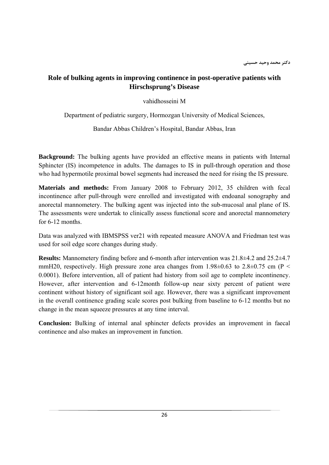# **Role of bulking agents in improving continence in post-operative patients with Hirschsprung's Disease**

vahidhosseini M

Department of pediatric surgery, Hormozgan University of Medical Sciences,

Bandar Abbas Children's Hospital, Bandar Abbas, Iran

**Background:** The bulking agents have provided an effective means in patients with Internal Sphincter (IS) incompetence in adults. The damages to IS in pull-through operation and those who had hypermotile proximal bowel segments had increased the need for rising the IS pressure.

**Materials and methods:** From January 2008 to February 2012, 35 children with fecal incontinence after pull-through were enrolled and investigated with endoanal sonography and anorectal mannometery. The bulking agent was injected into the sub-mucosal anal plane of IS. The assessments were undertak to clinically assess functional score and anorectal mannometery for 6-12 months.

Data was analyzed with IBMSPSS ver21 with repeated measure ANOVA and Friedman test was used for soil edge score changes during study.

**Results:** Mannometery finding before and 6-month after intervention was 21.8±4.2 and 25.2±4.7 mmH20, respectively. High pressure zone area changes from  $1.98\pm0.63$  to  $2.8\pm0.75$  cm (P < 0.0001). Before intervention, all of patient had history from soil age to complete incontinency. However, after intervention and 6-12month follow-up near sixty percent of patient were continent without history of significant soil age. However, there was a significant improvement in the overall continence grading scale scores post bulking from baseline to 6-12 months but no change in the mean squeeze pressures at any time interval.

**Conclusion:** Bulking of internal anal sphincter defects provides an improvement in faecal continence and also makes an improvement in function.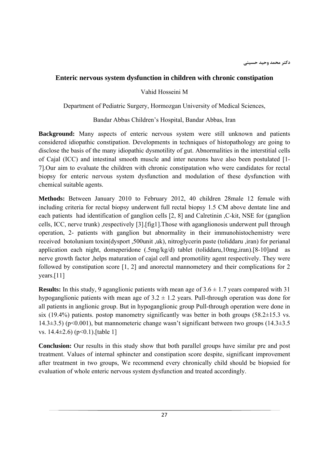### **Enteric nervous system dysfunction in children with chronic constipation**

Vahid Hosseini M

Department of Pediatric Surgery, Hormozgan University of Medical Sciences,

Bandar Abbas Children's Hospital, Bandar Abbas, Iran

**Background:** Many aspects of enteric nervous system were still unknown and patients considered idiopathic constipation. Developments in techniques of histopathology are going to disclose the basis of the many idiopathic dysmotility of gut. Abnormalities in the interstitial cells of Cajal (ICC) and intestinal smooth muscle and inter neurons have also been postulated [1- 7].Our aim to evaluate the children with chronic constipatation who were candidates for rectal biopsy for enteric nervous system dysfunction and modulation of these dysfunction with chemical suitable agents.

**Methods:** Between January 2010 to February 2012, 40 children 28male 12 female with including criteria for rectal biopsy underwent full rectal biopsy 1.5 CM above dentate line and each patients had identification of ganglion cells [2, 8] and Calretinin ,C-kit, NSE for (ganglion cells, ICC, nerve trunk) ,respectively [3].[fig1].Those with aganglionosis underwent pull through operation, 2- patients with ganglion but abnormality in their immunohistochemistry were received botolunium toxin(dysport ,500unit ,uk), nitroglycerin paste (toliddaru ,iran) for perianal application each night, domeperidone (.5mg/kg/d) tablet (toliddaru,10mg,iran).[8-10]and as nerve growth factor ,helps maturation of cajal cell and promotility agent respectively. They were followed by constipation score [1, 2] and anorectal mannometery and their complications for 2 years.[11]

**Results:** In this study, 9 aganglionic patients with mean age of  $3.6 \pm 1.7$  years compared with 31 hypoganglionic patients with mean age of  $3.2 \pm 1.2$  years. Pull-through operation was done for all patients in anglionic group. But in hypoganglionic group Pull-through operation were done in six (19.4%) patients. postop manometry significantly was better in both groups (58.2 $\pm$ 15.3 vs. 14.3 $\pm$ 3.5) (p<0.001), but mannometeric change wasn't significant between two groups (14.3 $\pm$ 3.5 vs.  $14.4\pm2.6$ ) (p<0.1).[table 1]

**Conclusion:** Our results in this study show that both parallel groups have similar pre and post treatment. Values of internal sphincter and constipation score despite, significant improvement after treatment in two groups, We recommend every chronically child should be biopsied for evaluation of whole enteric nervous system dysfunction and treated accordingly.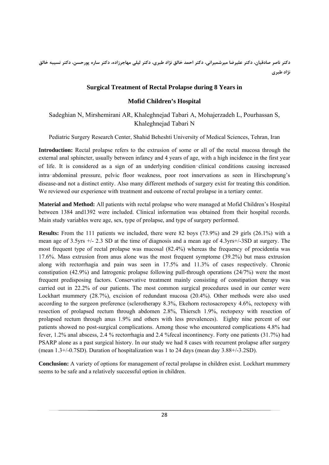دکتر ناصر صادقیان، دکتر علیرضا میرشمیرانی، دکتر احمد خالق نژاد طبری، دکتر لیلی مهاجرزاده، دکتر ساره پورحسن، دکتر نسیبه خالق **نژاد طبري** 

### **Surgical Treatment of Rectal Prolapse during 8 Years in**

### **Mofid Children's Hospital**

Sadeghian N, Mirshemirani AR, Khaleghnejad Tabari A, Mohajerzadeh L, Pourhassan S, Khaleghnejad Tabari N

Pediatric Surgery Research Center, Shahid Beheshti University of Medical Sciences, Tehran, Iran

**Introduction:** Rectal prolapse refers to the extrusion of some or all of the rectal mucosa through the external anal sphincter, usually between infancy and 4 years of age, with a high incidence in the first year of life. It is considered as a sign of an underlying condition‑clinical conditions causing increased intra‑abdominal pressure, pelvic floor weakness, poor root innervations as seen in Hirschsprung's disease-and not a distinct entity. Also many different methods of surgery exist for treating this condition. We reviewed our experience with treatment and outcome of rectal prolapse in a tertiary center.

**Material and Method:** All patients with rectal prolapse who were managed at Mofid Children's Hospital between 1384 and1392 were included. Clinical information was obtained from their hospital records. Main study variables were age, sex, type of prolapse, and type of surgery performed.

**Results:** From the 111 patients we included, there were 82 boys (73.9%) and 29 girls (26.1%) with a mean age of 3.5yrs +/- 2.3 SD at the time of diagnosis and a mean age of 4.3yrs+/-3SD at surgery. The most frequent type of rectal prolapse was mucosal (82.4%) whereas the frequency of procidentia was 17.6%. Mass extrusion from anus alone was the most frequent symptome (39.2%) but mass extrusion along with rectorrhagia and pain was seen in 17.5% and 11.3% of cases respectively. Chronic constipation (42.9%) and Iatrogenic prolapse following pull-through operations (24/7%) were the most frequent predisposing factors. Conservative treatment mainly consisting of constipation therapy was carried out in 22.2% of our patients. The most common surgical procedures used in our center were Lockhart mummery (28.7%), excision of redundant mucosa (20.4%). Other methods were also used according to the surgeon preference (sclerotherapy 8.3%, Ekehorn rectosacropexy 4.6%, rectopexy with resection of prolapsed rectum through abdomen 2.8%, Thiersch 1.9%, rectopexy with resection of prolapsed rectum through anus 1.9% and others with less prevalences). Eighty nine percent of our patients showed no post-surgical complications. Among those who encountered complications 4.8% had fever, 1.2% anal abscess, 2.4 % rectorrhagia and 2.4 %fecal incontinency. Forty one patients (31.7%) had PSARP alone as a past surgical history. In our study we had 8 cases with recurrent prolapse after surgery (mean 1.3+/-0.7SD). Duration of hospitalization was 1 to 24 days (mean day 3.88+/-3.2SD).

**Conclusion:** A variety of options for management of rectal prolapse in children exist. Lockhart mummery seems to be safe and a relatively successful option in children.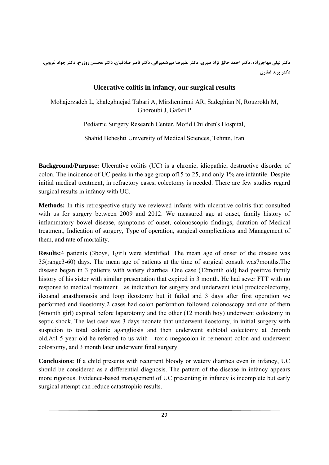دکتر لیلی مهاجرزاده، دکتر احمد خالق نژاد طبری، دکتر علیرضا میرشمیرانی، دکتر ناصر صادقیان، دکتر محسن روزرخ، دکتر جواد غروبی، **دكتر پرند غفاري**

# **Ulcerative colitis in infancy, our surgical results**

Mohajerzadeh L, khaleghnejad Tabari A, Mirshemirani AR, Sadeghian N, Rouzrokh M, Ghoroubi J, Gafari P

Pediatric Surgery Research Center, Mofid Children's Hospital,

Shahid Beheshti University of Medical Sciences, Tehran, Iran

**Background/Purpose:** Ulcerative colitis (UC) is a chronic, idiopathic, destructive disorder of colon. The incidence of UC peaks in the age group of15 to 25, and only 1% are infantile. Despite initial medical treatment, in refractory cases, colectomy is needed. There are few studies regard surgical results in infancy with UC.

**Methods:** In this retrospective study we reviewed infants with ulcerative colitis that consulted with us for surgery between 2009 and 2012. We measured age at onset, family history of inflammatory bowel disease, symptoms of onset, colonoscopic findings, duration of Medical treatment, Indication of surgery, Type of operation, surgical complications and Management of them, and rate of mortality.

**Results:**4 patients (3boys, 1girl) were identified. The mean age of onset of the disease was 35(range3-60) days. The mean age of patients at the time of surgical consult was7months.The disease began in 3 patients with watery diarrhea .One case (12month old) had positive family history of his sister with similar presentation that expired in 3 month. He had sever FTT with no response to medical treatment as indication for surgery and underwent total proctocolectomy, ileoanal anasthomosis and loop ileostomy but it failed and 3 days after first operation we performed end ileostomy.2 cases had colon perforation followed colonoscopy and one of them (4month girl) expired before laparotomy and the other (12 month boy) underwent colostomy in septic shock. The last case was 3 days neonate that underwent ileostomy, in initial surgery with suspicion to total colonic agangliosis and then underwent subtotal colectomy at 2month old.At1.5 year old he referred to us with toxic megacolon in remenant colon and underwent colostomy, and 3 month later underwent final surgery.

**Conclusions:** If a child presents with recurrent bloody or watery diarrhea even in infancy, UC should be considered as a differential diagnosis. The pattern of the disease in infancy appears more rigorous. Evidence-based management of UC presenting in infancy is incomplete but early surgical attempt can reduce catastrophic results.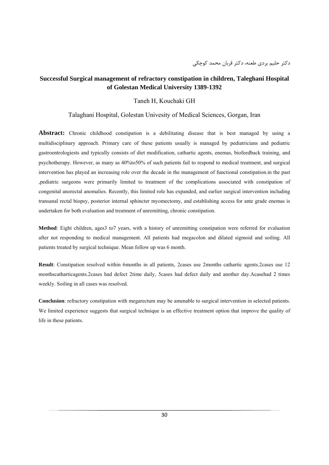### **Successful Surgical management of refractory constipation in children, Taleghani Hospital of Golestan Medical University 1389-1392**

#### Taneh H, Kouchaki GH

#### Talaghani Hospital, Golestan Univesity of Medical Sciences, Gorgan, Iran

**Abstract:** Chronic childhood constipation is a debilitating disease that is best managed by using a multidisciplinary approach. Primary care of these patients usually is managed by pediatricians and pediatric gastroentrologiests and typically consists of diet modification, cathartic agents, enemas, biofeedback training, and psychotherapy. However, as many as 40%to50% of such patients fail to respond to medical treatment, and surgical intervention has played an increasing role over the decade in the management of functional constipation.in the past ,pediatric surgeons were primarily limited to treatment of the complications associated with constipation of congenital anorectal anomalies. Recently, this limited role has expanded, and earlier surgical intervention including transanal rectal biopsy, posterior internal sphincter myomectomy, and establishing access for ante grade enemas is undertaken for both evaluation and treatment of unremitting, chronic constipation.

**Method**: Eight children, ages3 to7 years, with a history of unremitting constipation were referred for evaluation after not responding to medical management. All patients had megacolon and dilated sigmoid and soiling. All patients treated by surgical technique. Mean follow up was 6 month.

**Result**: Constipation resolved within 6months in all patients, 2cases use 2months cathartic agents.2cases use 12 monthscatharticagents.2cases had defect 2time daily, 5cases had defect daily and another day.Acasehad 2 times weekly. Soiling in all cases was resolved.

**Conclusion**: refractory constipation with megarectum may be amenable to surgical intervention in selected patients. We limited experience suggests that surgical technique is an effective treatment option that improve the quality of life in these patients.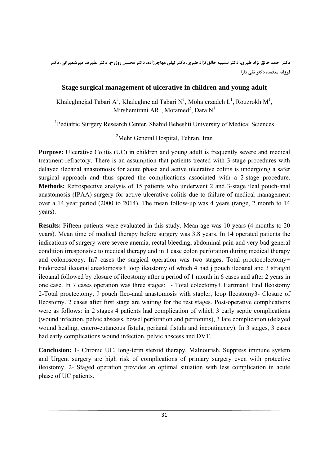دکتر احمد خالق نژاد طبری، دکتر نسیبه خالق نژاد طبری، دکتر لیلی مهاجرزاده، دکتر محسن روزرخ، دکتر علیرضا میرشمیرانی، دکتر **فرزانه معتمد، دكتر نقي دارا**

# **Stage surgical management of ulcerative in children and young adult**

Khaleghnejad Tabari A<sup>1</sup>, Khaleghnejad Tabari N<sup>1</sup>, Mohajerzadeh L<sup>1</sup>, Rouzrokh M<sup>1</sup>, Mirshemirani AR<sup>1</sup>, Motamed<sup>2</sup>, Dara N<sup>1</sup>

<sup>1</sup>Pediatric Surgery Research Center, Shahid Beheshti University of Medical Sciences

<sup>2</sup>Mehr General Hospital, Tehran, Iran

**Purpose:** Ulcerative Colitis (UC) in children and young adult is frequently severe and medical treatment-refractory. There is an assumption that patients treated with 3-stage procedures with delayed ileoanal anastomosis for acute phase and active ulcerative colitis is undergoing a safer surgical approach and thus spared the complications associated with a 2-stage procedure. **Methods:** Retrospective analysis of 15 patients who underwent 2 and 3-stage ileal pouch-anal anastomosis (IPAA) surgery for active ulcerative colitis due to failure of medical management over a 14 year period (2000 to 2014). The mean follow-up was 4 years (range, 2 month to 14 years).

**Results:** Fifteen patients were evaluated in this study. Mean age was 10 years (4 months to 20 years). Mean time of medical therapy before surgery was 3.8 years. In 14 operated patients the indications of surgery were severe anemia, rectal bleeding, abdominal pain and very bad general condition irresponsive to medical therapy and in 1 case colon perforation during medical therapy and colonoscopy. In7 cases the surgical operation was two stages; Total proctocolectomy+ Endorectal ileoanal anastomosis+ loop ileostomy of which 4 had j pouch ileoanal and 3 straight ileoanal followed by closure of ileostomy after a period of 1 month in 6 cases and after 2 years in one case. In 7 cases operation was three stages: 1- Total colectomy+ Hartman+ End Ileostomy 2-Total proctectomy, J pouch Ileo-anal anastomosis with stapler, loop Ileostomy3- Closure of Ileostomy. 2 cases after first stage are waiting for the rest stages. Post-operative complications were as follows: in 2 stages 4 patients had complication of which 3 early septic complications (wound infection, pelvic abscess, bowel perforation and peritonitis), 3 late complication (delayed wound healing, entero-cutaneous fistula, perianal fistula and incontinency). In 3 stages, 3 cases had early complications wound infection, pelvic abscess and DVT.

**Conclusion:** 1- Chronic UC, long-term steroid therapy, Malnourish, Suppress immune system and Urgent surgery are high risk of complications of primary surgery even with protective ileostomy. 2- Staged operation provides an optimal situation with less complication in acute phase of UC patients.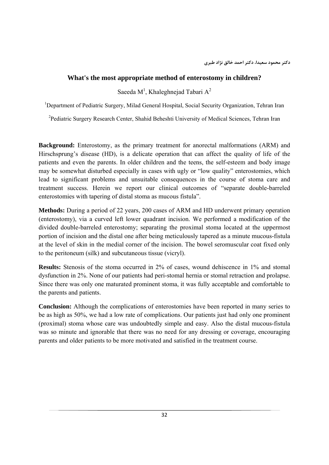#### **What's the most appropriate method of enterostomy in children?**

Saeeda M<sup>1</sup>, Khaleghnejad Tabari A<sup>2</sup>

<sup>1</sup>Department of Pediatric Surgery, Milad General Hospital, Social Security Organization, Tehran Iran

<sup>2</sup>Pediatric Surgery Research Center, Shahid Beheshti University of Medical Sciences, Tehran Iran

**Background:** Enterostomy, as the primary treatment for anorectal malformations (ARM) and Hirschsprung's disease (HD), is a delicate operation that can affect the quality of life of the patients and even the parents. In older children and the teens, the self-esteem and body image may be somewhat disturbed especially in cases with ugly or "low quality" enterostomies, which lead to significant problems and unsuitable consequences in the course of stoma care and treatment success. Herein we report our clinical outcomes of "separate double-barreled enterostomies with tapering of distal stoma as mucous fistula".

**Methods:** During a period of 22 years, 200 cases of ARM and HD underwent primary operation (enterostomy), via a curved left lower quadrant incision. We performed a modification of the divided double-barreled enterostomy; separating the proximal stoma located at the uppermost portion of incision and the distal one after being meticulously tapered as a minute mucous-fistula at the level of skin in the medial corner of the incision. The bowel seromuscular coat fixed only to the peritoneum (silk) and subcutaneous tissue (vicryl).

**Results:** Stenosis of the stoma occurred in 2% of cases, wound dehiscence in 1% and stomal dysfunction in 2%. None of our patients had peri-stomal hernia or stomal retraction and prolapse. Since there was only one maturated prominent stoma, it was fully acceptable and comfortable to the parents and patients.

**Conclusion:** Although the complications of enterostomies have been reported in many series to be as high as 50%, we had a low rate of complications. Our patients just had only one prominent (proximal) stoma whose care was undoubtedly simple and easy. Also the distal mucous-fistula was so minute and ignorable that there was no need for any dressing or coverage, encouraging parents and older patients to be more motivated and satisfied in the treatment course.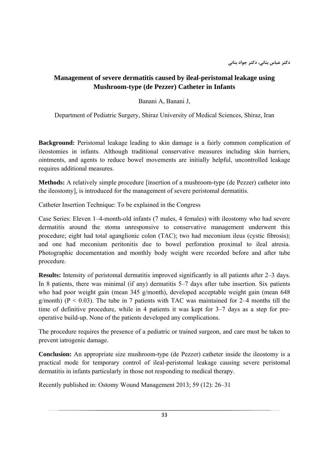# **Management of severe dermatitis caused by ileal-peristomal leakage using Mushroom-type (de Pezzer) Catheter in Infants**

Banani A, Banani J,

Department of Pediatric Surgery, Shiraz University of Medical Sciences, Shiraz, Iran

**Background:** Peristomal leakage leading to skin damage is a fairly common complication of ileostomies in infants. Although traditional conservative measures including skin barriers, ointments, and agents to reduce bowel movements are initially helpful, uncontrolled leakage requires additional measures.

**Methods:** A relatively simple procedure [insertion of a mushroom-type (de Pezzer) catheter into the ileostomy], is introduced for the management of severe peristomal dermatitis.

Catheter Insertion Technique: To be explained in the Congress

Case Series: Eleven 1–4-month-old infants (7 males, 4 females) with ileostomy who had severe dermatitis around the stoma unresponsive to conservative management underwent this procedure; eight had total aganglionic colon (TAC); two had meconium ileus (cystic fibrosis); and one had meconium peritonitis due to bowel perforation proximal to ileal atresia. Photographic documentation and monthly body weight were recorded before and after tube procedure.

**Results:** Intensity of peristomal dermatitis improved significantly in all patients after 2–3 days. In 8 patients, there was minimal (if any) dermatitis 5–7 days after tube insertion. Six patients who had poor weight gain (mean 345 g/month), developed acceptable weight gain (mean 648 g/month) ( $P < 0.03$ ). The tube in 7 patients with TAC was maintained for 2–4 months till the time of definitive procedure, while in 4 patients it was kept for 3–7 days as a step for preoperative build-up. None of the patients developed any complications.

The procedure requires the presence of a pediatric or trained surgeon, and care must be taken to prevent iatrogenic damage.

**Conclusion:** An appropriate size mushroom-type (de Pezzer) catheter inside the ileostomy is a practical mode for temporary control of ileal-peristomal leakage causing severe peristomal dermatitis in infants particularly in those not responding to medical therapy.

Recently published in: Ostomy Wound Management 2013; 59 (12): 26–31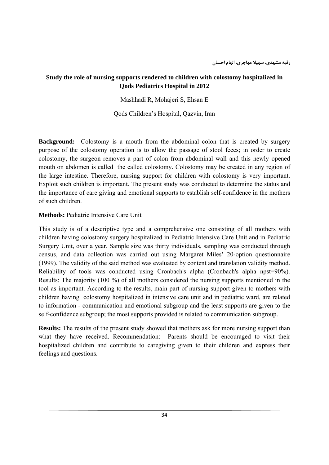# **Study the role of nursing supports rendered to children with colostomy hospitalized in Qods Pediatrics Hospital in 2012**

Mashhadi R, Mohajeri S, Ehsan E

Qods Children's Hospital, Qazvin, Iran

**Background:** Colostomy is a mouth from the abdominal colon that is created by surgery purpose of the colostomy operation is to allow the passage of stool feces; in order to create colostomy, the surgeon removes a part of colon from abdominal wall and this newly opened mouth on abdomen is called the called colostomy. Colostomy may be created in any region of the large intestine. Therefore, nursing support for children with colostomy is very important. Exploit such children is important. The present study was conducted to determine the status and the importance of care giving and emotional supports to establish self-confidence in the mothers of such children.

### **Methods:** Pediatric Intensive Care Unit

This study is of a descriptive type and a comprehensive one consisting of all mothers with children having colostomy surgery hospitalized in Pediatric Intensive Care Unit and in Pediatric Surgery Unit, over a year. Sample size was thirty individuals, sampling was conducted through census, and data collection was carried out using Margaret Miles' 20-option questionnaire (1999). The validity of the said method was evaluated by content and translation validity method. Reliability of tools was conducted using Cronbach's alpha (Cronbach's alpha npst=90%). Results: The majority (100 %) of all mothers considered the nursing supports mentioned in the tool as important. According to the results, main part of nursing support given to mothers with children having colostomy hospitalized in intensive care unit and in pediatric ward, are related to information - communication and emotional subgroup and the least supports are given to the self-confidence subgroup; the most supports provided is related to communication subgroup.

**Results:** The results of the present study showed that mothers ask for more nursing support than what they have received. Recommendation: Parents should be encouraged to visit their hospitalized children and contribute to caregiving given to their children and express their feelings and questions.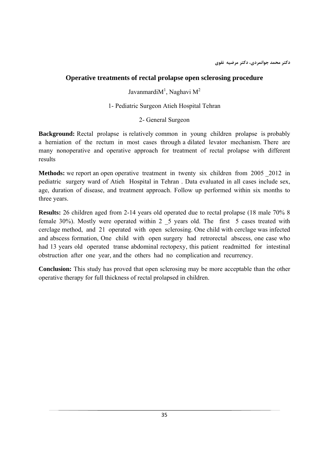# **Operative treatments of rectal prolapse open sclerosing procedure**

Javanmardi $M<sup>1</sup>$ , Naghavi  $M<sup>2</sup>$ 

1- Pediatric Surgeon Atieh Hospital Tehran

### 2- General Surgeon

**Background:** Rectal prolapse is relatively common in young children prolapse is probably a herniation of the rectum in most cases through a dilated levator mechanism. There are many nonoperative and operative approach for treatment of rectal prolapse with different results

**Methods:** we report an open operative treatment in twenty six children from 2005 2012 in pediatric surgery ward of Atieh Hospital in Tehran . Data evaluated in all cases include sex, age, duration of disease, and treatment approach. Follow up performed within six months to three years.

**Results:** 26 children aged from 2-14 years old operated due to rectal prolapse (18 male 70% 8 female 30%). Mostly were operated within 2 \_5 years old. The first 5 cases treated with cerclage method, and 21 operated with open sclerosing. One child with cerclage was infected and abscess formation, One child with open surgery had retrorectal abscess, one case who had 13 years old operated transe abdominal rectopexy, this patient readmitted for intestinal obstruction after one year, and the others had no complication and recurrency.

**Conclusion:** This study has proved that open sclerosing may be more acceptable than the other operative therapy for full thickness of rectal prolapsed in children.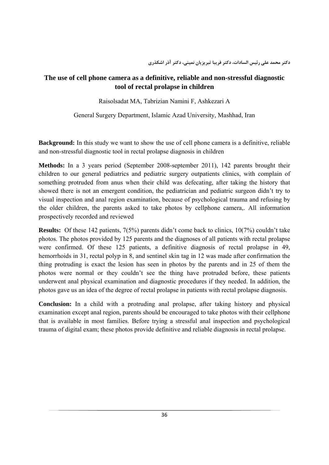# **The use of cell phone camera as a definitive, reliable and non-stressful diagnostic tool of rectal prolapse in children**

Raisolsadat MA, Tabrizian Namini F, Ashkezari A

General Surgery Department, Islamic Azad University, Mashhad, Iran

**Background:** In this study we want to show the use of cell phone camera is a definitive, reliable and non-stressful diagnostic tool in rectal prolapse diagnosis in children

**Methods:** In a 3 years period (September 2008-september 2011), 142 parents brought their children to our general pediatrics and pediatric surgery outpatients clinics, with complain of something protruded from anus when their child was defecating, after taking the history that showed there is not an emergent condition, the pediatrician and pediatric surgeon didn't try to visual inspection and anal region examination, because of psychological trauma and refusing by the older children, the parents asked to take photos by cellphone camera,. All information prospectively recorded and reviewed

**Results:** Of these 142 patients, 7(5%) parents didn't come back to clinics, 10(7%) couldn't take photos. The photos provided by 125 parents and the diagnoses of all patients with rectal prolapse were confirmed. Of these 125 patients, a definitive diagnosis of rectal prolapse in 49, hemorrhoids in 31, rectal polyp in 8, and sentinel skin tag in 12 was made after confirmation the thing protruding is exact the lesion has seen in photos by the parents and in 25 of them the photos were normal or they couldn't see the thing have protruded before, these patients underwent anal physical examination and diagnostic procedures if they needed. In addition, the photos gave us an idea of the degree of rectal prolapse in patients with rectal prolapse diagnosis.

**Conclusion:** In a child with a protruding anal prolapse, after taking history and physical examination except anal region, parents should be encouraged to take photos with their cellphone that is available in most families. Before trying a stressful anal inspection and psychological trauma of digital exam; these photos provide definitive and reliable diagnosis in rectal prolapse.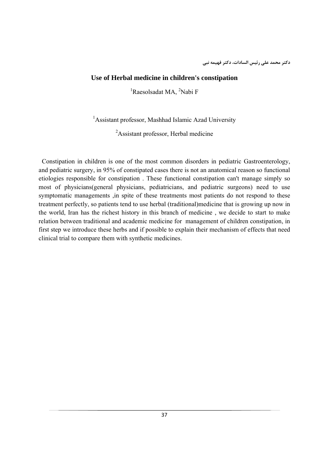#### **Use of Herbal medicine in children's constipation**

<sup>1</sup>Raesolsadat MA, <sup>2</sup>Nabi F

<sup>1</sup> Assistant professor, Mashhad Islamic Azad University

<sup>2</sup>Assistant professor, Herbal medicine

 Constipation in children is one of the most common disorders in pediatric Gastroenterology, and pediatric surgery, in 95% of constipated cases there is not an anatomical reason so functional etiologies responsible for constipation . These functional constipation can't manage simply so most of physicians(general physicians, pediatricians, and pediatric surgeons) need to use symptomatic managements ,in spite of these treatments most patients do not respond to these treatment perfectly, so patients tend to use herbal (traditional)medicine that is growing up now in the world, Iran has the richest history in this branch of medicine , we decide to start to make relation between traditional and academic medicine for management of children constipation, in first step we introduce these herbs and if possible to explain their mechanism of effects that need clinical trial to compare them with synthetic medicines.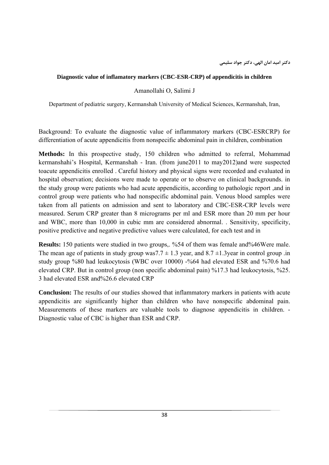## **Diagnostic value of inflamatory markers (CBC-ESR-CRP) of appendicitis in children**

Amanollahi O, Salimi J

Department of pediatric surgery, Kermanshah University of Medical Sciences, Kermanshah, Iran,

Background: To evaluate the diagnostic value of inflammatory markers (CBC-ESRCRP) for differentiation of acute appendicitis from nonspecific abdominal pain in children, combination

**Methods:** In this prospective study, 150 children who admitted to referral, Mohammad kermanshahi's Hospital, Kermanshah - Iran. (from june2011 to may2012)and were suspected toacute appendicitis enrolled . Careful history and physical signs were recorded and evaluated in hospital observation; decisions were made to operate or to observe on clinical backgrounds. in the study group were patients who had acute appendicitis, according to pathologic report ,and in control group were patients who had nonspecific abdominal pain. Venous blood samples were taken from all patients on admission and sent to laboratory and CBC-ESR-CRP levels were measured. Serum CRP greater than 8 micrograms per ml and ESR more than 20 mm per hour and WBC, more than 10,000 in cubic mm are considered abnormal. . Sensitivity, specificity, positive predictive and negative predictive values were calculated, for each test and in

**Results:** 150 patients were studied in two groups,. %54 of them was female and%46Were male. The mean age of patients in study group was  $7.7 \pm 1.3$  year, and  $8.7 \pm 1.3$  year in control group .in study group %80 had leukocytosis (WBC over 10000) -%64 had elevated ESR and %70.6 had elevated CRP. But in control group (non specific abdominal pain) %17.3 had leukocytosis, %25. 3 had elevated ESR and%26.6 elevated CRP

**Conclusion:** The results of our studies showed that inflammatory markers in patients with acute appendicitis are significantly higher than children who have nonspecific abdominal pain. Measurements of these markers are valuable tools to diagnose appendicitis in children. - Diagnostic value of CBC is higher than ESR and CRP.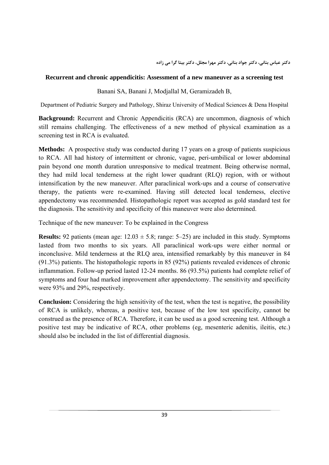#### **Recurrent and chronic appendicitis: Assessment of a new maneuver as a screening test**

Banani SA, Banani J, Modjallal M, Geramizadeh B,

Department of Pediatric Surgery and Pathology, Shiraz University of Medical Sciences & Dena Hospital

**Background:** Recurrent and Chronic Appendicitis (RCA) are uncommon, diagnosis of which still remains challenging. The effectiveness of a new method of physical examination as a screening test in RCA is evaluated.

Methods: A prospective study was conducted during 17 years on a group of patients suspicious to RCA. All had history of intermittent or chronic, vague, peri-umbilical or lower abdominal pain beyond one month duration unresponsive to medical treatment. Being otherwise normal, they had mild local tenderness at the right lower quadrant (RLQ) region, with or without intensification by the new maneuver. After paraclinical work-ups and a course of conservative therapy, the patients were re-examined. Having still detected local tenderness, elective appendectomy was recommended. Histopathologic report was accepted as gold standard test for the diagnosis. The sensitivity and specificity of this maneuver were also determined.

Technique of the new maneuver: To be explained in the Congress

**Results:** 92 patients (mean age:  $12.03 \pm 5.8$ ; range:  $5-25$ ) are included in this study. Symptoms lasted from two months to six years. All paraclinical work-ups were either normal or inconclusive. Mild tenderness at the RLQ area, intensified remarkably by this maneuver in 84 (91.3%) patients. The histopathologic reports in 85 (92%) patients revealed evidences of chronic inflammation. Follow-up period lasted 12-24 months. 86 (93.5%) patients had complete relief of symptoms and four had marked improvement after appendectomy. The sensitivity and specificity were 93% and 29%, respectively.

**Conclusion:** Considering the high sensitivity of the test, when the test is negative, the possibility of RCA is unlikely, whereas, a positive test, because of the low test specificity, cannot be construed as the presence of RCA. Therefore, it can be used as a good screening test. Although a positive test may be indicative of RCA, other problems (eg, mesenteric adenitis, ileitis, etc.) should also be included in the list of differential diagnosis.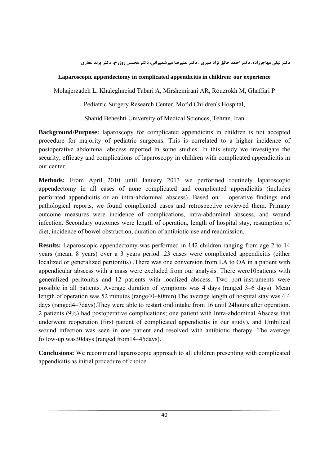# **Laparoscopic appendectomy in complicated appendicitis in children: our experience**

Mohajerzadeh L, Khaleghnejad Tabari A, Mirshemirani AR, Rouzrokh M, Ghaffari P

Pediatric Surgery Research Center, Mofid Children's Hospital,

Shahid Beheshti University of Medical Sciences, Tehran, Iran

**Background/Purpose:** laparoscopy for complicated appendicitis in children is not accepted procedure for majority of pediatric surgeons. This is correlated to a higher incidence of postoperative abdominal abscess reported in some studies. In this study we investigate the security, efficacy and complications of laparoscopy in children with complicated appendicitis in our center.

**Methods:** From April 2010 until January 2013 we performed routinely laparoscopic appendectomy in all cases of none complicated and complicated appendicitis (includes perforated appendicitis or an intra-abdominal abscess). Based on operative findings and pathological reports, we found complicated cases and retrospective reviewed them. Primary outcome measures were incidence of complications, intra-abdominal abscess, and wound infection. Secondary outcomes were length of operation, length of hospital stay, resumption of diet, incidence of bowel obstruction, duration of antibiotic use and readmission.

**Results:** Laparoscopic appendectomy was performed in 142 children ranging from age 2 to 14 years (mean, 8 years) over a 3 years period .23 cases were complicated appendicitis (either localized or generalized peritonitis) .There was one conversion from LA to OA in a patient with appendicular abscess with a mass were excluded from our analysis. There were10patients with generalized peritonitis and 12 patients with localized abscess. Two port-instruments were possible in all patients. Average duration of symptoms was 4 days (ranged 3–6 days). Mean length of operation was 52 minutes (range40–80min).The average length of hospital stay was 4.4 days (ranged4–7days).They were able to restart oral intake from 16 until 24hours after operation. 2 patients (9%) had postoperative complications; one patient with Intra-abdominal Abscess that underwent reoperation (first patient of complicated appendicitis in our study), and Umbilical wound infection was seen in one patient and resolved with antibiotic therapy. The average follow-up was30days (ranged from14–45days).

**Conclusions:** We recommend laparoscopic approach to all children presenting with complicated appendicitis as initial procedure of choice.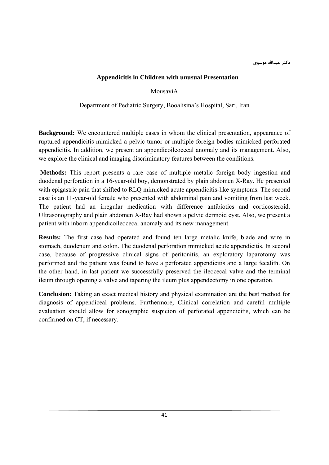#### **Appendicitis in Children with unusual Presentation**

MousaviA

Department of Pediatric Surgery, Booalisina's Hospital, Sari, Iran

**Background:** We encountered multiple cases in whom the clinical presentation, appearance of ruptured appendicitis mimicked a pelvic tumor or multiple foreign bodies mimicked perforated appendicitis. In addition, we present an appendicoileocecal anomaly and its management. Also, we explore the clinical and imaging discriminatory features between the conditions.

 **Methods:** This report presents a rare case of multiple metalic foreign body ingestion and duodenal perforation in a 16-year-old boy, demonstrated by plain abdomen X-Ray. He presented with epigastric pain that shifted to RLQ mimicked acute appendicitis-like symptoms. The second case is an 11-year-old female who presented with abdominal pain and vomiting from last week. The patient had an irregular medication with difference antibiotics and corticosteroid. Ultrasonography and plain abdomen X-Ray had shown a pelvic dermoid cyst. Also, we present a patient with inborn appendicoileocecal anomaly and its new management.

**Results:** The first case had operated and found ten large metalic knife, blade and wire in stomach, duodenum and colon. The duodenal perforation mimicked acute appendicitis. In second case, because of progressive clinical signs of peritonitis, an exploratory laparotomy was performed and the patient was found to have a perforated appendicitis and a large fecalith. On the other hand, in last patient we successfully preserved the ileocecal valve and the terminal ileum through opening a valve and tapering the ileum plus appendectomy in one operation.

**Conclusion:** Taking an exact medical history and physical examination are the best method for diagnosis of appendiceal problems. Furthermore, Clinical correlation and careful multiple evaluation should allow for sonographic suspicion of perforated appendicitis, which can be confirmed on CT, if necessary.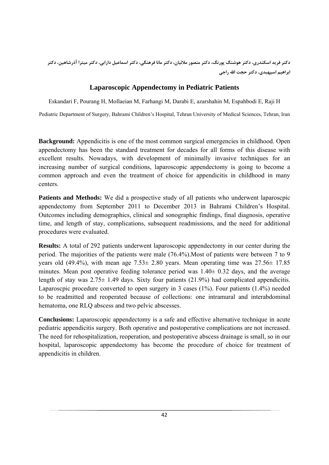دکتر فرید اسکندری، دکتر هوشنگ پورنگ، دکتر منصور ملائیان، دکتر مانا فرهنگی، دکتر اسماعیل دارابی، دکتر میترا آذرشاهین، دکتر **ابراهيم اسپهبدي، دكتر حجت االله راجي**

# **Laparoscopic Appendectomy in Pediatric Patients**

Eskandari F, Pourang H, Mollaeian M, Farhangi M, Darabi E, azarshahin M, Espahbodi E, Raji H

Pediatric Department of Surgery, Bahrami Children's Hospital, Tehran University of Medical Sciences, Tehran, Iran

**Background:** Appendicitis is one of the most common surgical emergencies in childhood. Open appendectomy has been the standard treatment for decades for all forms of this disease with excellent results. Nowadays, with development of minimally invasive techniques for an increasing number of surgical conditions, laparoscopic appendectomy is going to become a common approach and even the treatment of choice for appendicitis in childhood in many centers.

**Patients and Methods:** We did a prospective study of all patients who underwent laparoscpic appendectomy from September 2011 to December 2013 in Bahrami Children's Hospital. Outcomes including demographics, clinical and sonographic findings, final diagnosis, operative time, and length of stay, complications, subsequent readmissions, and the need for additional procedures were evaluated.

**Results:** A total of 292 patients underwent laparoscopic appendectomy in our center during the period. The majorities of the patients were male (76.4%).Most of patients were between 7 to 9 years old (49.4%), with mean age  $7.53 \pm 2.80$  years. Mean operating time was  $27.56 \pm 17.85$ minutes. Mean post operative feeding tolerance period was  $1.40 \pm 0.32$  days, and the average length of stay was  $2.75 \pm 1.49$  days. Sixty four patients (21.9%) had complicated appendicitis. Laparoscpic procedure converted to open surgery in 3 cases (1%). Four patients (1.4%) needed to be readmitted and reoperated because of collections: one intramural and interabdominal hematoma, one RLQ abscess and two pelvic abscesses.

**Conclusions:** Laparoscopic appendectomy is a safe and effective alternative technique in acute pediatric appendicitis surgery. Both operative and postoperative complications are not increased. The need for rehospitalization, reoperation, and postoperative abscess drainage is small, so in our hospital, laparoscopic appendectomy has become the procedure of choice for treatment of appendicitis in children.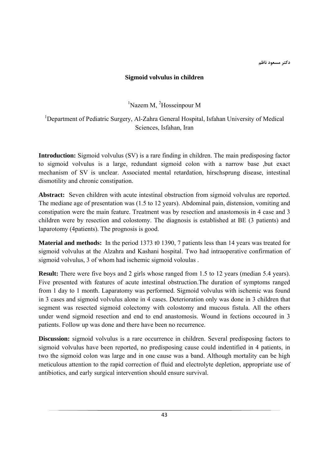**دكتر مسعود ناظم**

## **Sigmoid volvulus in children**

<sup>1</sup>Nazem M, <sup>2</sup>Hosseinpour M

<sup>1</sup>Department of Pediatric Surgery, Al-Zahra General Hospital, Isfahan University of Medical Sciences, Isfahan, Iran

**Introduction:** Sigmoid volvulus (SV) is a rare finding in children. The main predisposing factor to sigmoid volvulus is a large, redundant sigmoid colon with a narrow base ,but exact mechanism of SV is unclear. Associated mental retardation, hirschsprung disease, intestinal dismotility and chronic constipation.

**Abstract:** Seven children with acute intestinal obstruction from sigmoid volvulus are reported. The mediane age of presentation was (1.5 to 12 years). Abdominal pain, distension, vomiting and constipation were the main feature. Treatment was by resection and anastomosis in 4 case and 3 children were by resection and colostomy. The diagnosis is established at BE (3 patients) and laparotomy (4patients). The prognosis is good.

**Material and methods:** In the period 1373 t0 1390, 7 patients less than 14 years was treated for sigmoid volvulus at the Alzahra and Kashani hospital. Two had intraoperative confirmation of sigmoid volvulus, 3 of whom had ischemic sigmoid voloulas .

**Result:** There were five boys and 2 girls whose ranged from 1.5 to 12 years (median 5.4 years). Five presented with features of acute intestinal obstruction.The duration of symptoms ranged from 1 day to 1 month. Laparatomy was performed. Sigmoid volvulus with ischemic was found in 3 cases and sigmoid volvulus alone in 4 cases. Deterioration only was done in 3 children that segment was resected sigmoid colectomy with colostomy and mucous fistula. All the others under wend sigmoid resection and end to end anastomosis. Wound in fections occoured in 3 patients. Follow up was done and there have been no recurrence.

**Discussion:** sigmoid volvulus is a rare occurrence in children. Several predisposing factors to sigmoid volvulus have been reported, no predisposing cause could indentified in 4 patients, in two the sigmoid colon was large and in one cause was a band. Although mortality can be high meticulous attention to the rapid correction of fluid and electrolyte depletion, appropriate use of antibiotics, and early surgical intervention should ensure survival.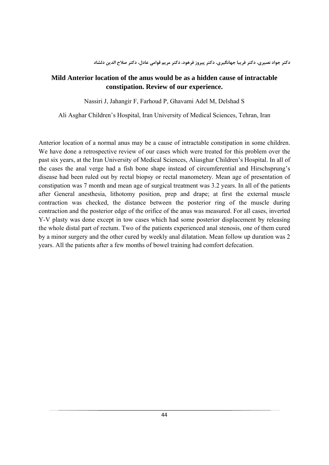# **Mild Anterior location of the anus would be as a hidden cause of intractable constipation. Review of our experience.**

Nassiri J, Jahangir F, Farhoud P, Ghavami Adel M, Delshad S

Ali Asghar Children's Hospital, Iran University of Medical Sciences, Tehran, Iran

Anterior location of a normal anus may be a cause of intractable constipation in some children. We have done a retrospective review of our cases which were treated for this problem over the past six years, at the Iran University of Medical Sciences, Aliasghar Children's Hospital. In all of the cases the anal verge had a fish bone shape instead of circumferential and Hirschsprung's disease had been ruled out by rectal biopsy or rectal manometery. Mean age of presentation of constipation was 7 month and mean age of surgical treatment was 3.2 years. In all of the patients after General anesthesia, lithotomy position, prep and drape; at first the external muscle contraction was checked, the distance between the posterior ring of the muscle during contraction and the posterior edge of the orifice of the anus was measured. For all cases, inverted Y-V plasty was done except in tow cases which had some posterior displacement by releasing the whole distal part of rectum. Two of the patients experienced anal stenosis, one of them cured by a minor surgery and the other cured by weekly anal dilatation. Mean follow up duration was 2 years. All the patients after a few months of bowel training had comfort defecation.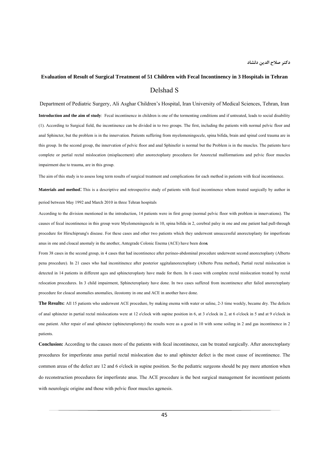# **Evaluation of Result of Surgical Treatment of 51 Children with Fecal Incontinency in 3 Hospitals in Tehran**  Delshad S

Department of Pediatric Surgery, Ali Asghar Children's Hospital, Iran University of Medical Sciences, Tehran, Iran **Introduction and the aim of study**: Fecal incontinence in children is one of the tormenting conditions and if untreated, leads to social disability (1). According to Surgical field, the incontinence can be divided in to two groups. The first, including the patients with normal pelvic floor and anal Sphincter, but the problem is in the innervation. Patients suffering from myelomeningocele, spina bifida, brain and spinal cord trauma are in this group. In the second group, the innervation of pelvic floor and anal Sphinefer is normal but the Problem is in the muscles. The patients have complete or partial rectal mislocation (misplacement) after anorectoplasty procedures for Anorectal malformations and pelvic floor muscles impairment due to trauma, are in this group.

The aim of this study is to assess long term results of surgical treatment and complications for each method in patients with fecal incontinence.

**Materials and method**: This is a descriptive and retrospective study of patients with fecal incontinence whom treated surgically by author in period between May 1992 and March 2010 in three Tehran hospitals

According to the division mentioned in the introduction, 14 patients were in first group (normal pelvic floor with problem in innervations). The causes of fecal incontinence in this group were Myelomeningocele in 10, spina bifida in 2, cerebral palsy in one and one patient had pull-through procedure for Hirschiprung's disease. For these cases and other two patients which they underwent unsuccessful anorectoplasty for imperforate anus in one and cloacal anomaly in the another, Antegrade Colonic Enema (ACE) have been don**e.**

From 38 cases in the second group, in 4 cases that had incontinence after perineo-abdominal procedure underwent second anorectoplasty (Alberto pena procedure). In 21 cases who had inconitinence after posterior sggitalanorectoplasty (Alberto Pena method), Partial rectal mislocation is detected in 14 patients in different ages and sphincteroplasty have made for them. In 6 cases with complete rectal mislocation treated by rectal relocation procedures. In 3 child impairment, Sphincteroplasty have done. In two cases suffered from incontinence after failed anorectoplasty procedure for cloacal anomalies anomalies, ileostomy in one and ACE in another have done.

**The Results:** All 15 patients who underwent ACE procedure, by making enema with water or saline, 2-3 time weekly, became dry. The defects of anal sphincter in partial rectal mislocations were at 12 o'clock with supine position in 6, at 3 o'clock in 2, at 6 o'clock in 5 and at 9 o'clock in one patient. After repair of anal sphincter (sphincteroplorsty) the results were as a good in 10 with some soiling in 2 and gas incontinence in 2 patients.

**Conclusion:** According to the causes more of the patients with fecal incontinence, can be treated surgically. After anorectoplasty procedures for imperforate anus partial rectal mislocation due to anal sphincter defect is the most cause of incontinence. The common areas of the defect are 12 and 6 o'clock in supine position. So the pediatric surgeons should be pay more attention when do reconstruction procedures for imperforate anus. The ACE procedure is the best surgical management for incontinent patients with neurologic origine and those with pelvic floor muscles agenesis.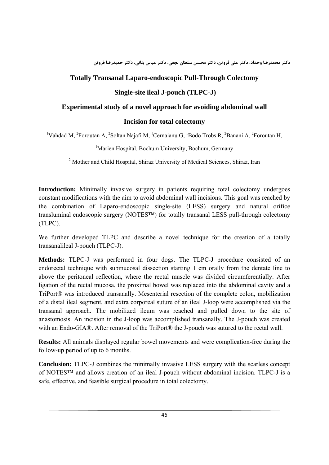**دكتر محمدرضا وحداد، دكتر علي فروتن، دكتر محسن سلطان نجفي، دكتر عباس بناني، دكتر حميدرضا فروتن**

## **Totally Transanal Laparo-endoscopic Pull-Through Colectomy**

### **Single-site ileal J-pouch (TLPC-J)**

#### **Experimental study of a novel approach for avoiding abdominal wall**

### **Incision for total colectomy**

<sup>1</sup>Vahdad M, <sup>2</sup>Foroutan A, <sup>2</sup>Soltan Najafi M, <sup>1</sup>Cernaianu G, <sup>1</sup>Bodo Trobs R, <sup>2</sup>Banani A, <sup>2</sup>Foroutan H,

<sup>1</sup>Marien Hospital, Bochum University, Bochum, Germany

<sup>2</sup> Mother and Child Hospital, Shiraz University of Medical Sciences, Shiraz, Iran

**Introduction:** Minimally invasive surgery in patients requiring total colectomy undergoes constant modifications with the aim to avoid abdominal wall incisions. This goal was reached by the combination of Laparo-endoscopic single-site (LESS) surgery and natural orifice transluminal endoscopic surgery (NOTES™) for totally transanal LESS pull-through colectomy (TLPC).

We further developed TLPC and describe a novel technique for the creation of a totally transanalileal J-pouch (TLPC-J).

**Methods:** TLPC-J was performed in four dogs. The TLPC-J procedure consisted of an endorectal technique with submucosal dissection starting 1 cm orally from the dentate line to above the peritoneal reflection, where the rectal muscle was divided circumferentially. After ligation of the rectal mucosa, the proximal bowel was replaced into the abdominal cavity and a TriPort® was introduced transanally. Mesenterial resection of the complete colon, mobilization of a distal ileal segment, and extra corporeal suture of an ileal J-loop were accomplished via the transanal approach. The mobilized ileum was reached and pulled down to the site of anastomosis. An incision in the J-loop was accomplished transanally. The J-pouch was created with an Endo-GIA®. After removal of the TriPort® the J-pouch was sutured to the rectal wall.

**Results:** All animals displayed regular bowel movements and were complication-free during the follow-up period of up to 6 months.

**Conclusion:** TLPC-J combines the minimally invasive LESS surgery with the scarless concept of NOTES™ and allows creation of an ileal J-pouch without abdominal incision. TLPC-J is a safe, effective, and feasible surgical procedure in total colectomy.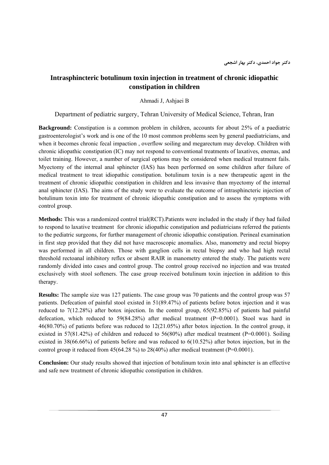# **Intrasphincteric botulinum toxin injection in treatment of chronic idiopathic constipation in children**

Ahmadi J, Ashjaei B

Department of pediatric surgery, Tehran University of Medical Science, Tehran, Iran

**Background:** Constipation is a common problem in children, accounts for about 25% of a paediatric gastroenterologist's work and is one of the 10 most common problems seen by general paediatricians, and when it becomes chronic fecal impaction , overflow soiling and megarectum may develop. Children with chronic idiopathic constipation (IC) may not respond to conventional treatments of laxatives, enemas, and toilet training. However, a number of surgical options may be considered when medical treatment fails. Myectomy of the internal anal sphincter (IAS) has been performed on some children after failure of medical treatment to treat idiopathic constipation. botulinum toxin is a new therapeutic agent in the treatment of chronic idiopathic constipation in children and less invasive than myectomy of the internal anal sphincter (IAS). The aims of the study were to evaluate the outcome of intrasphincteric injection of botulinum toxin into for treatment of chronic idiopathic constipation and to assess the symptoms with control group.

**Methods:** This was a randomized control trial(RCT).Patients were included in the study if they had failed to respond to laxative treatment for chronic idiopathic constipation and pediatricians referred the patients to the pediatric surgeons, for further management of chronic idiopathic constipation. Perineal examination in first step provided that they did not have macroscopic anomalies. Also, manometry and rectal biopsy was performed in all children. Those with ganglion cells in rectal biopsy and who had high rectal threshold rectoanal inhibitory reflex or absent RAIR in manometry entered the study. The patients were randomly divided into cases and control group. The control group received no injection and was treated exclusively with stool softeners. The case group received botulinum toxin injection in addition to this therapy.

**Results:** The sample size was 127 patients. The case group was 70 patients and the control group was 57 patients. Defecation of painful stool existed in 51(89.47%) of patients before botox injection and it was reduced to 7(12.28%) after botox injection. In the control group, 65(92.85%) of patients had painful defecation, which reduced to  $59(84.28%)$  after medical treatment (P=0.0001). Stool was hard in 46(80.70%) of patients before was reduced to 12(21.05%) after botox injection. In the control group, it existed in 57(81.42%) of children and reduced to 56(80%) after medical treatment (P=0.0001). Soiling existed in 38(66.66%) of patients before and was reduced to 6(10.52%) after botox injection, but in the control group it reduced from  $45(64.28\%)$  to  $28(40\%)$  after medical treatment (P=0.0001).

**Conclusion:** Our study results showed that injection of botulinum toxin into anal sphincter is an effective and safe new treatment of chronic idiopathic constipation in children.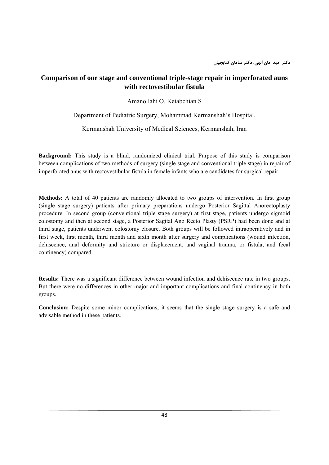# **Comparison of one stage and conventional triple-stage repair in imperforated auns with rectovestibular fistula**

Amanollahi O, Ketabchian S

Department of Pediatric Surgery, Mohammad Kermanshah's Hospital,

Kermanshah University of Medical Sciences, Kermanshah, Iran

**Background:** This study is a blind, randomized clinical trial. Purpose of this study is comparison between complications of two methods of surgery (single stage and conventional triple stage) in repair of imperforated anus with rectovestibular fistula in female infants who are candidates for surgical repair.

**Methods:** A total of 40 patients are randomly allocated to two groups of intervention. In first group (single stage surgery) patients after primary preparations undergo Posterior Sagittal Anorectoplasty procedure. In second group (conventional triple stage surgery) at first stage, patients undergo sigmoid colostomy and then at second stage, a Posterior Sagital Ano Recto Plasty (PSRP) had been done and at third stage, patients underwent colostomy closure. Both groups will be followed intraoperatively and in first week, first month, third month and sixth month after surgery and complications (wound infection, dehiscence, anal deformity and stricture or displacement, and vaginal trauma, or fistula, and fecal continency) compared.

**Results:** There was a significant difference between wound infection and dehiscence rate in two groups. But there were no differences in other major and important complications and final continency in both groups.

**Conclusion:** Despite some minor complications, it seems that the single stage surgery is a safe and advisable method in these patients.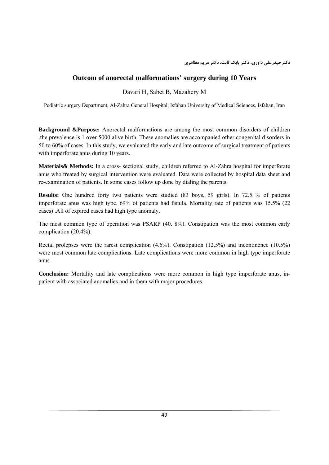## **Outcom of anorectal malformations' surgery during 10 Years**

Davari H, Sabet B, Mazahery M

Pediatric surgery Department, Al-Zahra General Hospital, Isfahan University of Medical Sciences, Isfahan, Iran

**Background &Purpose:** Anorectal malformations are among the most common disorders of children .the prevalence is 1 over 5000 alive birth. These anomalies are accompanied other congenital disorders in 50 to 60% of cases. In this study, we evaluated the early and late outcome of surgical treatment of patients with imperforate anus during 10 years.

**Materials& Methods:** In a cross- sectional study, children referred to Al-Zahra hospital for imperforate anus who treated by surgical intervention were evaluated. Data were collected by hospital data sheet and re-examination of patients. In some cases follow up done by dialing the parents.

**Results:** One hundred forty two patients were studied (83 boys, 59 girls). In 72.5 % of patients imperforate anus was high type. 69% of patients had fistula. Mortality rate of patients was 15.5% (22 cases) .All of expired cases had high type anomaly.

The most common type of operation was PSARP (40. 8%). Constipation was the most common early complication (20.4%).

Rectal prolepses were the rarest complication (4.6%). Constipation (12.5%) and incontinence (10.5%) were most common late complications. Late complications were more common in high type imperforate anus.

**Conclusion:** Mortality and late complications were more common in high type imperforate anus, inpatient with associated anomalies and in them with major procedures.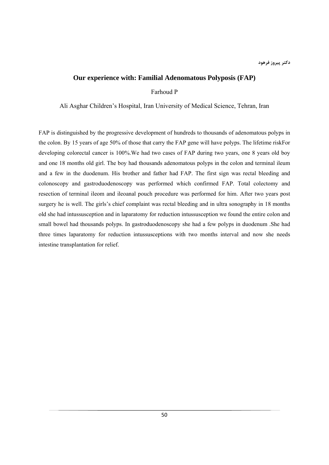#### **Our experience with: Familial Adenomatous Polyposis (FAP)**

Farhoud P

Ali Asghar Children's Hospital, Iran University of Medical Science, Tehran, Iran

FAP is distinguished by the progressive development of hundreds to thousands of adenomatous polyps in the colon. By 15 years of age 50% of those that carry the FAP gene will have polyps. The lifetime riskFor developing colorectal cancer is 100%.We had two cases of FAP during two years, one 8 years old boy and one 18 months old girl. The boy had thousands adenomatous polyps in the colon and terminal ileum and a few in the duodenum. His brother and father had FAP. The first sign was rectal bleeding and colonoscopy and gastroduodenoscopy was performed which confirmed FAP. Total colectomy and resection of terminal ileom and ileoanal pouch procedure was performed for him. After two years post surgery he is well. The girls's chief complaint was rectal bleeding and in ultra sonography in 18 months old she had intussusception and in laparatomy for reduction intussusception we found the entire colon and small bowel had thousands polyps. In gastroduodenoscopy she had a few polyps in duodenum .She had three times laparatomy for reduction intussusceptions with two months interval and now she needs intestine transplantation for relief.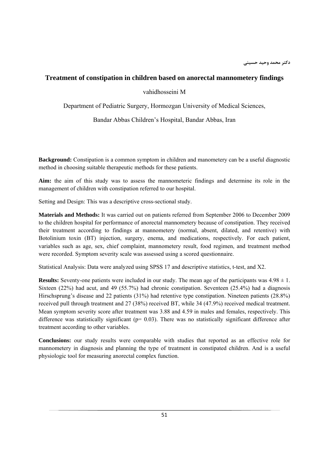#### **Treatment of constipation in children based on anorectal mannometery findings**

#### vahidhosseini M

Department of Pediatric Surgery, Hormozgan University of Medical Sciences,

Bandar Abbas Children's Hospital, Bandar Abbas, Iran

**Background:** Constipation is a common symptom in children and manometery can be a useful diagnostic method in choosing suitable therapeutic methods for these patients.

**Aim:** the aim of this study was to assess the mannometeric findings and determine its role in the management of children with constipation referred to our hospital.

Setting and Design: This was a descriptive cross-sectional study.

**Materials and Methods:** It was carried out on patients referred from September 2006 to December 2009 to the children hospital for performance of anorectal mannometery because of constipation. They received their treatment according to findings at mannometery (normal, absent, dilated, and retentive) with Botolinium toxin (BT) injection, surgery, enema, and medications, respectively. For each patient, variables such as age, sex, chief complaint, mannometery result, food regimen, and treatment method were recorded. Symptom severity scale was assessed using a scored questionnaire.

Statistical Analysis: Data were analyzed using SPSS 17 and descriptive statistics, t-test, and X2.

**Results:** Seventy-one patients were included in our study. The mean age of the participants was  $4.98 \pm 1$ . Sixteen (22%) had acut, and 49 (55.7%) had chronic constipation. Seventeen (25.4%) had a diagnosis Hirschsprung's disease and 22 patients (31%) had retentive type constipation. Nineteen patients (28.8%) received pull through treatment and 27 (38%) received BT, while 34 (47.9%) received medical treatment. Mean symptom severity score after treatment was 3.88 and 4.59 in males and females, respectively. This difference was statistically significant ( $p= 0.03$ ). There was no statistically significant difference after treatment according to other variables.

**Conclusions:** our study results were comparable with studies that reported as an effective role for mannometery in diagnosis and planning the type of treatment in constipated children. And is a useful physiologic tool for measuring anorectal complex function.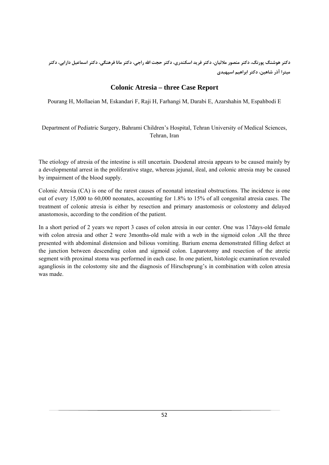دکتر هوشنگ پورنگ، دکتر منصور ملائیان، دکتر فرید اسکندری، دکتر حجت الله راجی، دکتر مانا فرهنگی، دکتر اسماعیل دارابی، دکتر **ميترا آذر شاهين، دكتر ابراهيم اسپهبدي**

# **Colonic Atresia – three Case Report**

Pourang H, Mollaeian M, Eskandari F, Raji H, Farhangi M, Darabi E, Azarshahin M, Espahbodi E

Department of Pediatric Surgery, Bahrami Children's Hospital, Tehran University of Medical Sciences, Tehran, Iran

The etiology of atresia of the intestine is still uncertain. Duodenal atresia appears to be caused mainly by a developmental arrest in the proliferative stage, whereas jejunal, ileal, and colonic atresia may be caused by impairment of the blood supply.

Colonic Atresia (CA) is one of the rarest causes of neonatal intestinal obstructions. The incidence is one out of every 15,000 to 60,000 neonates, accounting for 1.8% to 15% of all congenital atresia cases. The treatment of colonic atresia is either by resection and primary anastomosis or colostomy and delayed anastomosis, according to the condition of the patient.

In a short period of 2 years we report 3 cases of colon atresia in our center. One was 17days-old female with colon atresia and other 2 were 3months-old male with a web in the sigmoid colon .All the three presented with abdominal distension and bilious vomiting. Barium enema demonstrated filling defect at the junction between descending colon and sigmoid colon. Laparotomy and resection of the atretic segment with proximal stoma was performed in each case. In one patient, histologic examination revealed agangliosis in the colostomy site and the diagnosis of Hirschsprung's in combination with colon atresia was made.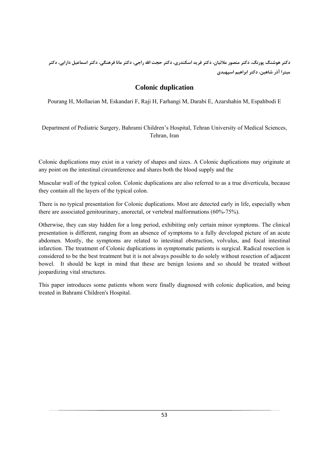دکتر هوشنگ پورنگ، دکتر منصور ملائیان، دکتر فرید اسکندری، دکتر حجت الله راجی، دکتر مانا فرهنگی، دکتر اسماعیل دارابی، دکتر **ميترا آذر شاهين، دكتر ابراهيم اسپهبدي**

# **Colonic duplication**

Pourang H, Mollaeian M, Eskandari F, Raji H, Farhangi M, Darabi E, Azarshahin M, Espahbodi E

Department of Pediatric Surgery, Bahrami Children's Hospital, Tehran University of Medical Sciences, Tehran, Iran

Colonic duplications may exist in a variety of shapes and sizes. A Colonic duplications may originate at any point on the intestinal circumference and shares both the blood supply and the

Muscular wall of the typical colon. Colonic duplications are also referred to as a true diverticula, because they contain all the layers of the typical colon.

There is no typical presentation for Colonic duplications. Most are detected early in life, especially when there are associated genitourinary, anorectal, or vertebral malformations (60%-75%).

Otherwise, they can stay hidden for a long period, exhibiting only certain minor symptoms. The clinical presentation is different, ranging from an absence of symptoms to a fully developed picture of an acute abdomen. Mostly, the symptoms are related to intestinal obstruction, volvulus, and focal intestinal infarction. The treatment of Colonic duplications in symptomatic patients is surgical. Radical resection is considered to be the best treatment but it is not always possible to do solely without resection of adjacent bowel. It should be kept in mind that these are benign lesions and so should be treated without jeopardizing vital structures.

This paper introduces some patients whom were finally diagnosed with colonic duplication, and being treated in Bahrami Children's Hospital.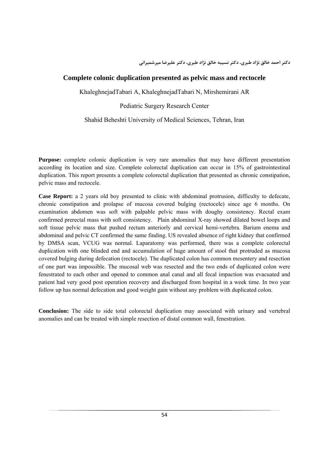**دكتر احمد خالق نژاد طبري، دكتر نسيبه خالق نژاد طبري، دكتر عليرضا ميرشميراني**

### **Complete colonic duplication presented as pelvic mass and rectocele**

KhaleghnejadTabari A, KhaleghnejadTabari N, Mirshemirani AR

Pediatric Surgery Research Center

Shahid Beheshti University of Medical Sciences, Tehran, Iran

**Purpose:** complete colonic duplication is very rare anomalies that may have different presentation according its location and size. Complete colorectal duplication can occur in 15% of gastrointestinal duplication. This report presents a complete colorectal duplication that presented as chronic constipation, pelvic mass and rectocele.

**Case Report:** a 2 years old boy presented to clinic with abdominal protrusion, difficulty to defecate, chronic constipation and prolapse of mucosa covered bulging (rectocele) since age 6 months. On examination abdomen was soft with palpable pelvic mass with doughy consistency. Rectal exam confirmed prerectal mass with soft consistency. Plain abdominal X-ray showed dilated bowel loops and soft tissue pelvic mass that pushed rectum anteriorly and cervical hemi-vertebra. Barium enema and abdominal and pelvic CT confirmed the same finding. US revealed absence of right kidney that confirmed by DMSA scan, VCUG was normal. Laparatomy was performed, there was a complete colorectal duplication with one blinded end and accumulation of huge amount of stool that protruded as mucosa covered bulging during defecation (rectocele). The duplicated colon has common mesentery and resection of one part was impossible. The mucosal web was resected and the two ends of duplicated colon were fenestrated to each other and opened to common anal canal and all fecal impaction was evacuated and patient had very good post operation recovery and discharged from hospital in a week time. In two year follow up has normal defecation and good weight gain without any problem with duplicated colon.

**Conclusion:** The side to side total colorectal duplication may associated with urinary and vertebral anomalies and can be treated with simple resection of distal common wall, fenestration.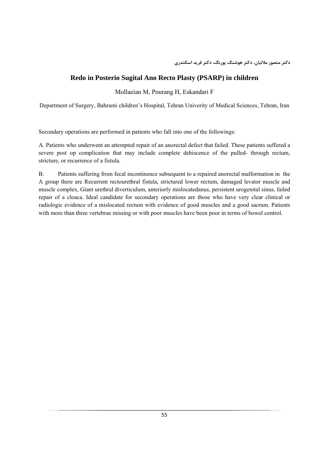## **Redo in Posterio Sugital Ano Recto Plasty (PSARP) in children**

Mollaeian M, Pourang H, Eskandari F

Department of Surgery, Bahrami children's Hospital, Tehran Univerity of Medical Sciences, Tehran, Iran

Secondary operations are performed in patients who fall into one of the followings:

A. Patients who underwent an attempted repair of an anorectal defect that failed. These patients suffered a severe post op complication that may include complete dehiscence of the pulled- through rectum, stricture, or recurrence of a fistula.

B. Patients suffering from fecal incontinence subsequent to a repaired anorectal malformation in the A group there are Recurrent rectourethral fistula, strictured lower rectum, damaged levator muscle and muscle complex, Giant urethral diverticulum, anteriorly mislocatedanus, persistent urogenital sinus, failed repair of a cloaca. Ideal candidate for secondary operations are those who have very clear clinical or radiologic evidence of a mislocated rectum with evidence of good muscles and a good sacrum. Patients with more than three vertebrae missing or with poor muscles have been poor in terms of bowel control.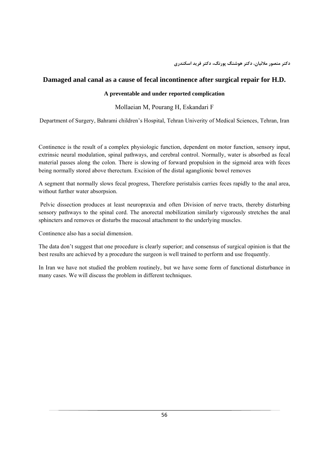**دكتر منصور ملائيان، دكتر هوشنگ پورنگ، دكتر فريد اسكندري**

## **Damaged anal canal as a cause of fecal incontinence after surgical repair for H.D.**

#### **A preventable and under reported complication**

### Mollaeian M, Pourang H, Eskandari F

Department of Surgery, Bahrami children's Hospital, Tehran Univerity of Medical Sciences, Tehran, Iran

Continence is the result of a complex physiologic function, dependent on motor function, sensory input, extrinsic neural modulation, spinal pathways, and cerebral control. Normally, water is absorbed as fecal material passes along the colon. There is slowing of forward propulsion in the sigmoid area with feces being normally stored above therectum. Excision of the distal aganglionic bowel removes

A segment that normally slows fecal progress, Therefore peristalsis carries feces rapidly to the anal area, without further water absorpsion.

 Pelvic dissection produces at least neuropraxia and often Division of nerve tracts, thereby disturbing sensory pathways to the spinal cord. The anorectal mobilization similarly vigorously stretches the anal sphincters and removes or disturbs the mucosal attachment to the underlying muscles.

Continence also has a social dimension.

The data don't suggest that one procedure is clearly superior; and consensus of surgical opinion is that the best results are achieved by a procedure the surgeon is well trained to perform and use frequently.

In Iran we have not studied the problem routinely, but we have some form of functional disturbance in many cases. We will discuss the problem in different techniques.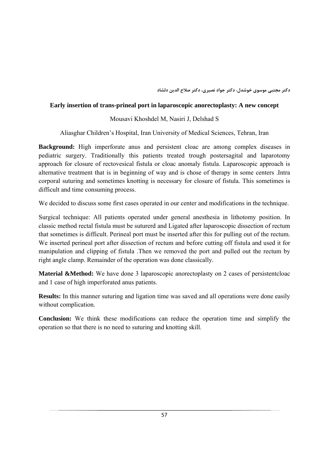**دكتر مجتبي موسوي خوشدل، دكتر جواد نصيري، دكتر صلاح الدين دلشاد**

### **Early insertion of trans-prineal port in laparoscopic anorectoplasty: A new concept**

# Mousavi Khoshdel M, Nasiri J, Delshad S

Aliasghar Children's Hospital, Iran University of Medical Sciences, Tehran, Iran

**Background:** High imperforate anus and persistent cloac are among complex diseases in pediatric surgery. Traditionally this patients treated trough postersagital and laparotomy approach for closure of rectovesical fistula or cloac anomaly fistula. Laparoscopic approach is alternative treatment that is in beginning of way and is chose of therapy in some centers .Intra corporal suturing and sometimes knotting is necessary for closure of fistula. This sometimes is difficult and time consuming process.

We decided to discuss some first cases operated in our center and modifications in the technique.

Surgical technique: All patients operated under general anesthesia in lithotomy position. In classic method rectal fistula must be suturerd and Ligated after laparoscopic dissection of rectum that sometimes is difficult. Perineal port must be inserted after this for pulling out of the rectum. We inserted perineal port after dissection of rectum and before cutting off fistula and used it for manipulation and clipping of fistula .Then we removed the port and pulled out the rectum by right angle clamp. Remainder of the operation was done classically.

**Material &Method:** We have done 3 laparoscopic anorectoplasty on 2 cases of persistentcloac and 1 case of high imperforated anus patients.

**Results:** In this manner suturing and ligation time was saved and all operations were done easily without complication.

**Conclusion:** We think these modifications can reduce the operation time and simplify the operation so that there is no need to suturing and knotting skill.